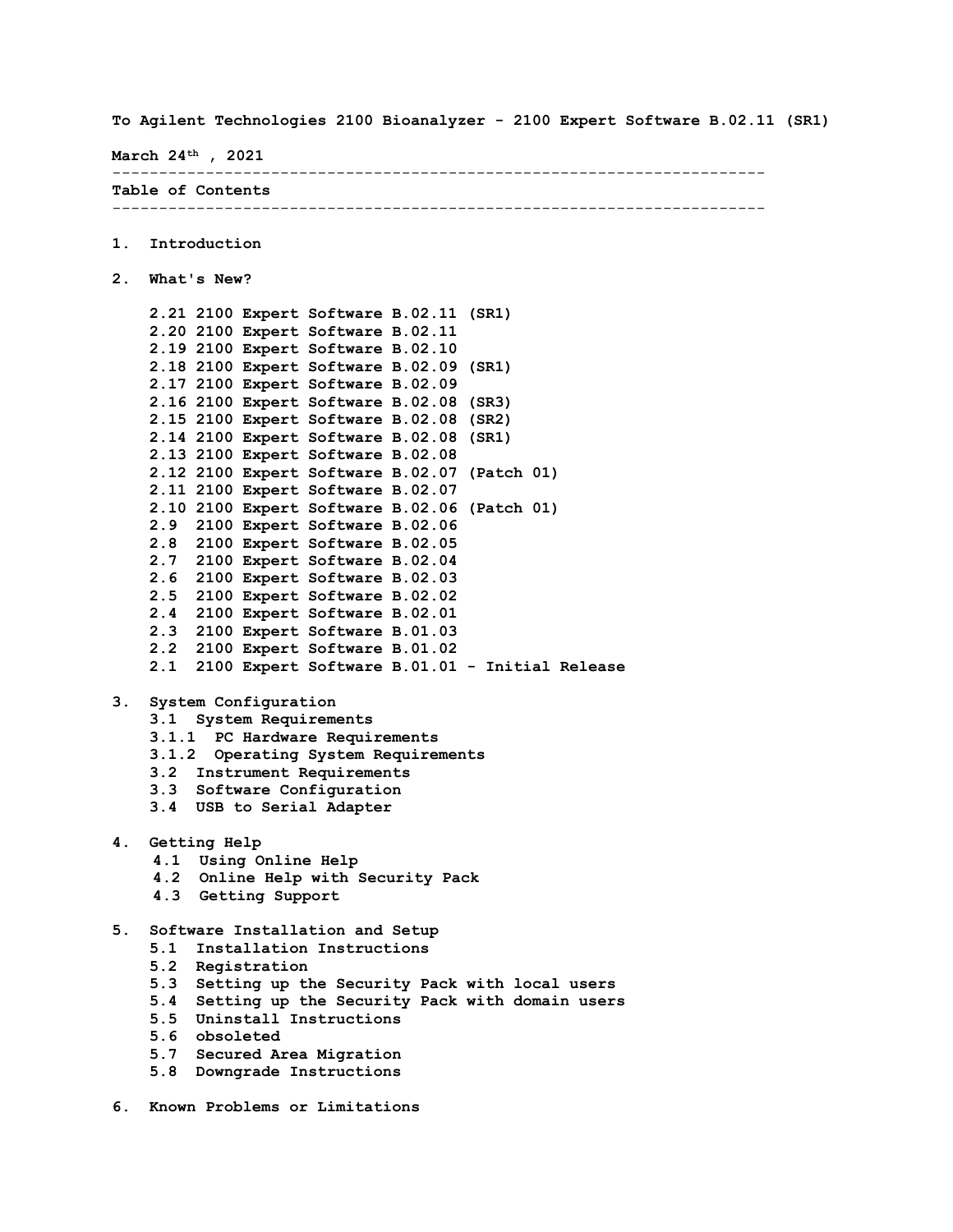**To Agilent Technologies 2100 Bioanalyzer - 2100 Expert Software B.02.11 (SR1) March 24th , 2021** ---------------------------------------------------------------------- **Table of Contents** ---------------------------------------------------------------------- **1. Introduction 2. What's New? 2.21 2100 Expert Software B.02.11 (SR1) 2.20 2100 Expert Software B.02.11 2.19 2100 Expert Software B.02.10 2.18 2100 Expert Software B.02.09 (SR1) 2.17 2100 Expert Software B.02.09 2.16 2100 Expert Software B.02.08 (SR3) 2.15 2100 Expert Software B.02.08 (SR2) 2.14 2100 Expert Software B.02.08 (SR1) 2.13 2100 Expert Software B.02.08 2.12 2100 Expert Software B.02.07 (Patch 01) 2.11 2100 Expert Software B.02.07 2.10 2100 Expert Software B.02.06 (Patch 01) 2.9 2100 Expert Software B.02.06 2.8 2100 Expert Software B.02.05 2.7 2100 Expert Software B.02.04 2.6 2100 Expert Software B.02.03 2.5 2100 Expert Software B.02.02 2.4 2100 Expert Software B.02.01 2.3 2100 Expert Software B.01.03 2.2 2100 Expert Software B.01.02 2.1 2100 Expert Software B.01.01 - Initial Release 3. System Configuration 3.1 System Requirements 3.1.1 PC Hardware Requirements 3.1.2 Operating System Requirements 3.2 Instrument Requirements 3.3 Software Configuration 3.4 USB to Serial Adapter 4. Getting Help 4.1 Using Online Help 4.2 Online Help with Security Pack 4.3 Getting Support 5. Software Installation and Setup 5.1 Installation Instructions 5.2 Registration 5.3 Setting up the Security Pack with local users 5.4 Setting up the Security Pack with domain users 5.5 Uninstall Instructions 5.6 obsoleted 5.7 Secured Area Migration 5.8 Downgrade Instructions**

**6. Known Problems or Limitations**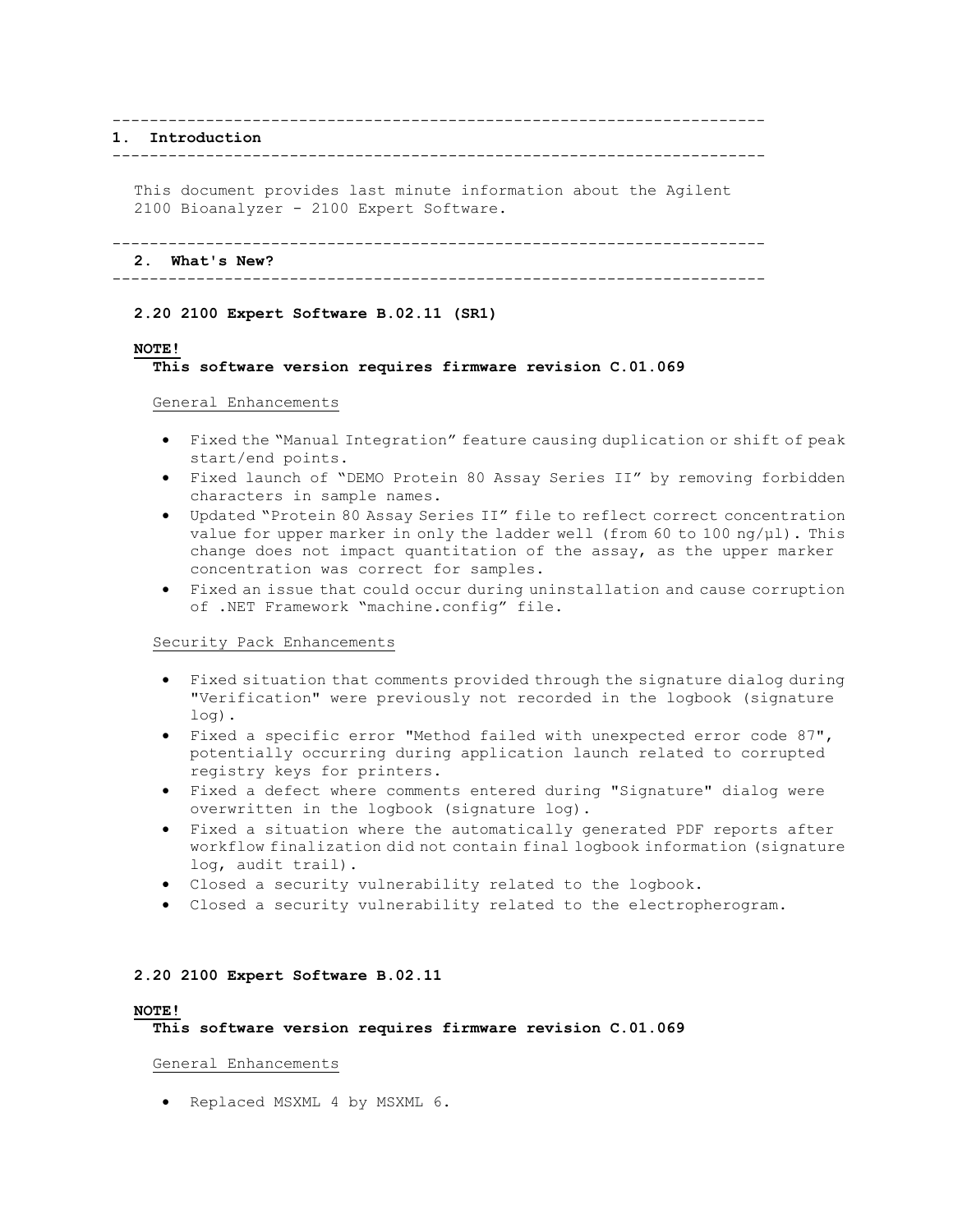#### ----------------------------------------------------------------------

# **1. Introduction**

----------------------------------------------------------------------

This document provides last minute information about the Agilent 2100 Bioanalyzer - 2100 Expert Software.

----------------------------------------------------------------------

# **2. What's New?**

----------------------------------------------------------------------

# **2.20 2100 Expert Software B.02.11 (SR1)**

#### **NOTE!**

# **This software version requires firmware revision C.01.069**

# General Enhancements

- Fixed the "Manual Integration" feature causing duplication or shift of peak start/end points.
- Fixed launch of "DEMO Protein 80 Assay Series II" by removing forbidden characters in sample names.
- Updated "Protein 80 Assay Series II" file to reflect correct concentration value for upper marker in only the ladder well (from 60 to 100  $\text{ng}/\text{ul}$ ). This change does not impact quantitation of the assay, as the upper marker concentration was correct for samples.
- Fixed an issue that could occur during uninstallation and cause corruption of .NET Framework "machine.config" file.

# Security Pack Enhancements

- Fixed situation that comments provided through the signature dialog during "Verification" were previously not recorded in the logbook (signature log).
- Fixed a specific error "Method failed with unexpected error code 87", potentially occurring during application launch related to corrupted registry keys for printers.
- Fixed a defect where comments entered during "Signature" dialog were overwritten in the logbook (signature log).
- Fixed a situation where the automatically generated PDF reports after workflow finalization did not contain final logbook information (signature log, audit trail).
- Closed a security vulnerability related to the logbook.
- Closed a security vulnerability related to the electropherogram.

# **2.20 2100 Expert Software B.02.11**

#### **NOTE!**

 **This software version requires firmware revision C.01.069**

#### General Enhancements

• Replaced MSXML 4 by MSXML 6.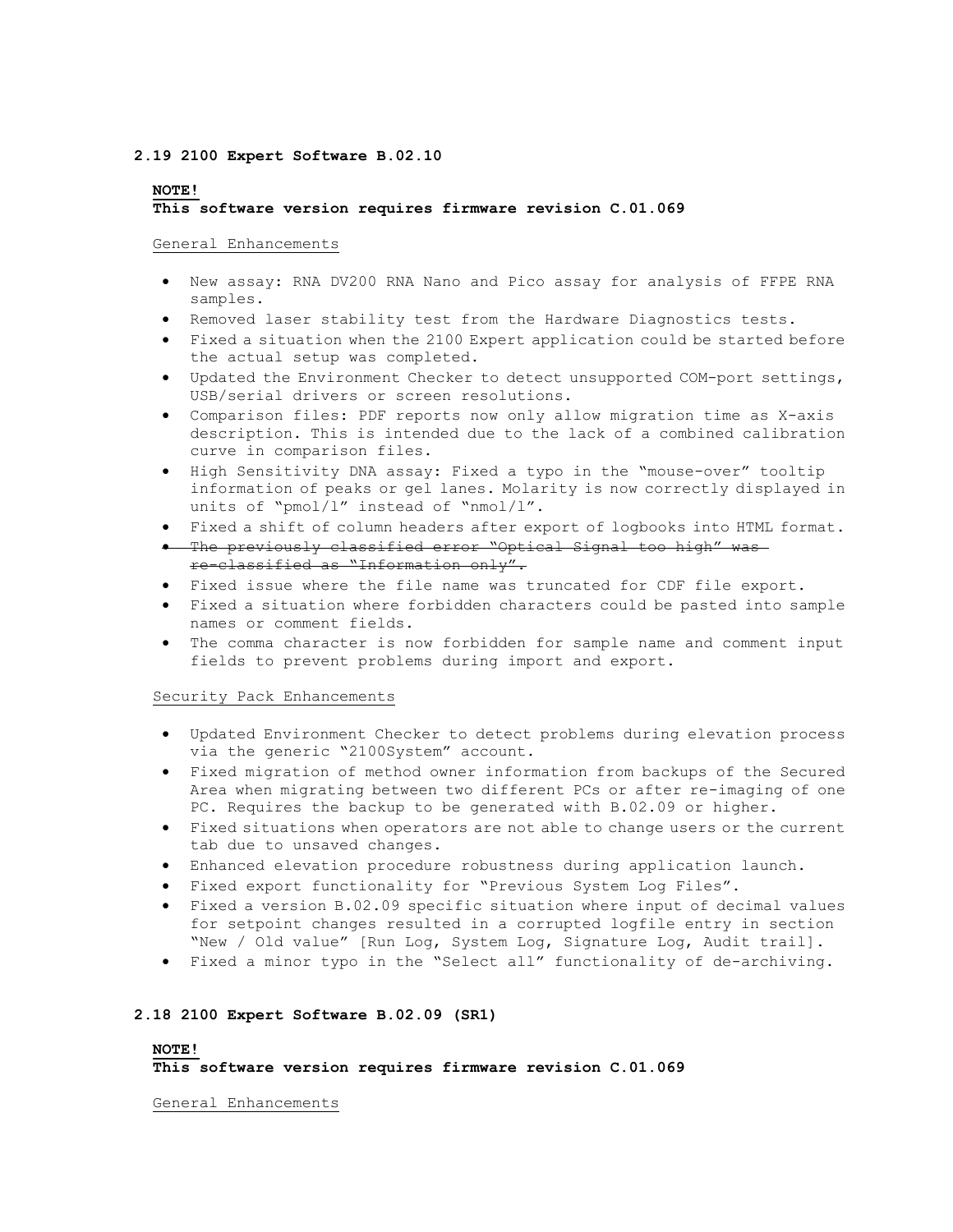#### **2.19 2100 Expert Software B.02.10**

### **NOTE!**

# **This software version requires firmware revision C.01.069**

# General Enhancements

- New assay: RNA DV200 RNA Nano and Pico assay for analysis of FFPE RNA samples.
- Removed laser stability test from the Hardware Diagnostics tests.
- Fixed a situation when the 2100 Expert application could be started before the actual setup was completed.
- Updated the Environment Checker to detect unsupported COM-port settings, USB/serial drivers or screen resolutions.
- Comparison files: PDF reports now only allow migration time as X-axis description. This is intended due to the lack of a combined calibration curve in comparison files.
- High Sensitivity DNA assay: Fixed a typo in the "mouse-over" tooltip information of peaks or gel lanes. Molarity is now correctly displayed in units of "pmol/l" instead of "nmol/l".
- Fixed a shift of column headers after export of logbooks into HTML format.
- The previously classified error "Optical Signal too high" was re-classified as "Information only".
- Fixed issue where the file name was truncated for CDF file export.
- Fixed a situation where forbidden characters could be pasted into sample names or comment fields.
- The comma character is now forbidden for sample name and comment input fields to prevent problems during import and export.

#### Security Pack Enhancements

- Updated Environment Checker to detect problems during elevation process via the generic "2100System" account.
- Fixed migration of method owner information from backups of the Secured Area when migrating between two different PCs or after re-imaging of one PC. Requires the backup to be generated with B.02.09 or higher.
- Fixed situations when operators are not able to change users or the current tab due to unsaved changes.
- Enhanced elevation procedure robustness during application launch.
- Fixed export functionality for "Previous System Log Files".
- Fixed a version B.02.09 specific situation where input of decimal values for setpoint changes resulted in a corrupted logfile entry in section "New / Old value" [Run Log, System Log, Signature Log, Audit trail].
- Fixed a minor typo in the "Select all" functionality of de-archiving.

# **2.18 2100 Expert Software B.02.09 (SR1)**

# **NOTE! This software version requires firmware revision C.01.069**

General Enhancements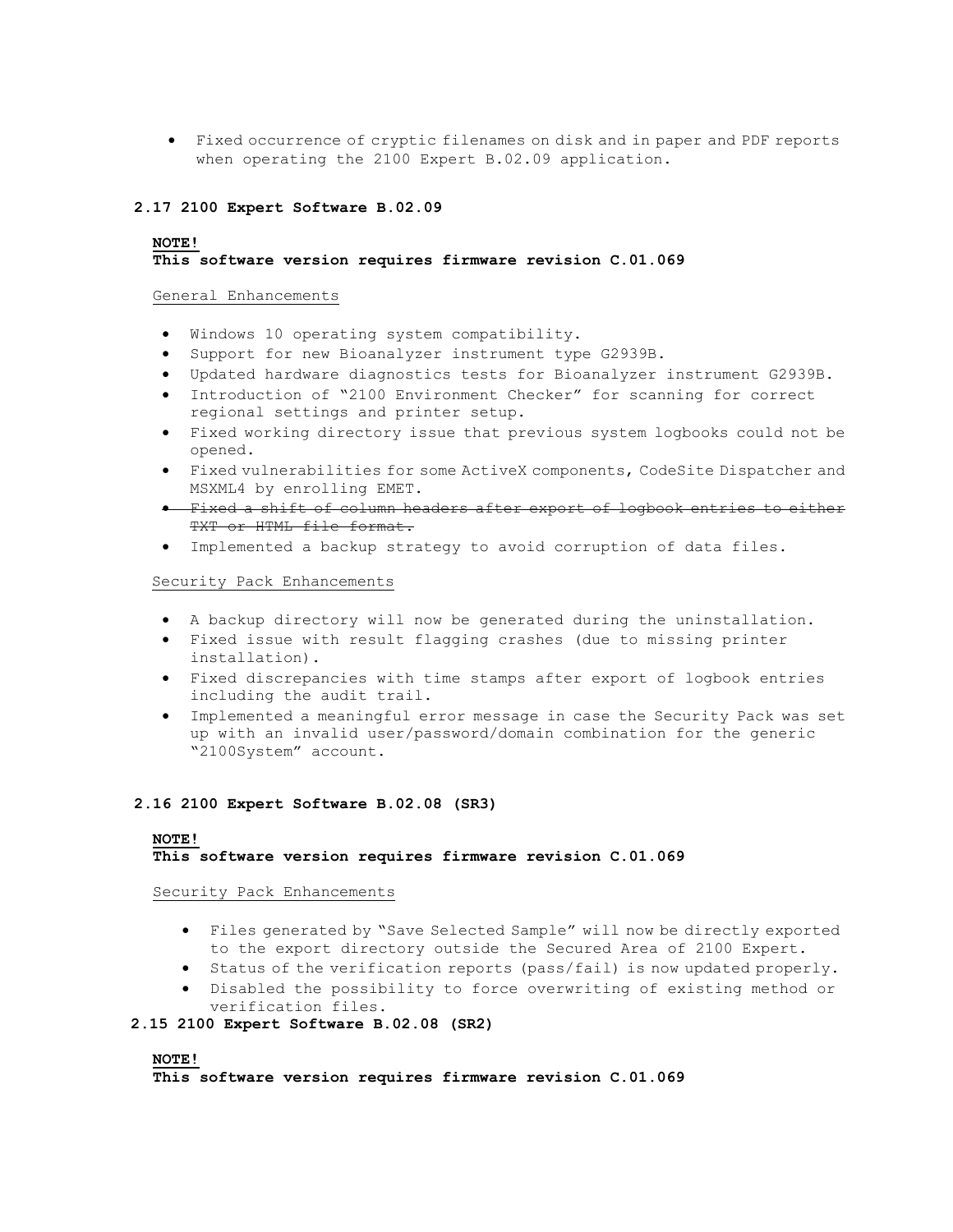• Fixed occurrence of cryptic filenames on disk and in paper and PDF reports when operating the 2100 Expert B.02.09 application.

# **2.17 2100 Expert Software B.02.09**

### **NOTE!**

# **This software version requires firmware revision C.01.069**

#### General Enhancements

- Windows 10 operating system compatibility.
- Support for new Bioanalyzer instrument type G2939B.
- Updated hardware diagnostics tests for Bioanalyzer instrument G2939B.
- Introduction of "2100 Environment Checker" for scanning for correct regional settings and printer setup.
- Fixed working directory issue that previous system logbooks could not be opened.
- Fixed vulnerabilities for some ActiveX components, CodeSite Dispatcher and MSXML4 by enrolling EMET.
- Fixed a shift of column headers after export of logbook entries to either TXT or HTML file format.
- Implemented a backup strategy to avoid corruption of data files.

#### Security Pack Enhancements

- A backup directory will now be generated during the uninstallation.
- Fixed issue with result flagging crashes (due to missing printer installation).
- Fixed discrepancies with time stamps after export of logbook entries including the audit trail.
- Implemented a meaningful error message in case the Security Pack was set up with an invalid user/password/domain combination for the generic "2100System" account.

### **2.16 2100 Expert Software B.02.08 (SR3)**

# **NOTE! This software version requires firmware revision C.01.069**

# Security Pack Enhancements

- Files generated by "Save Selected Sample" will now be directly exported to the export directory outside the Secured Area of 2100 Expert.
- Status of the verification reports (pass/fail) is now updated properly.
- Disabled the possibility to force overwriting of existing method or verification files.

# **2.15 2100 Expert Software B.02.08 (SR2)**

#### **NOTE!**

 **This software version requires firmware revision C.01.069**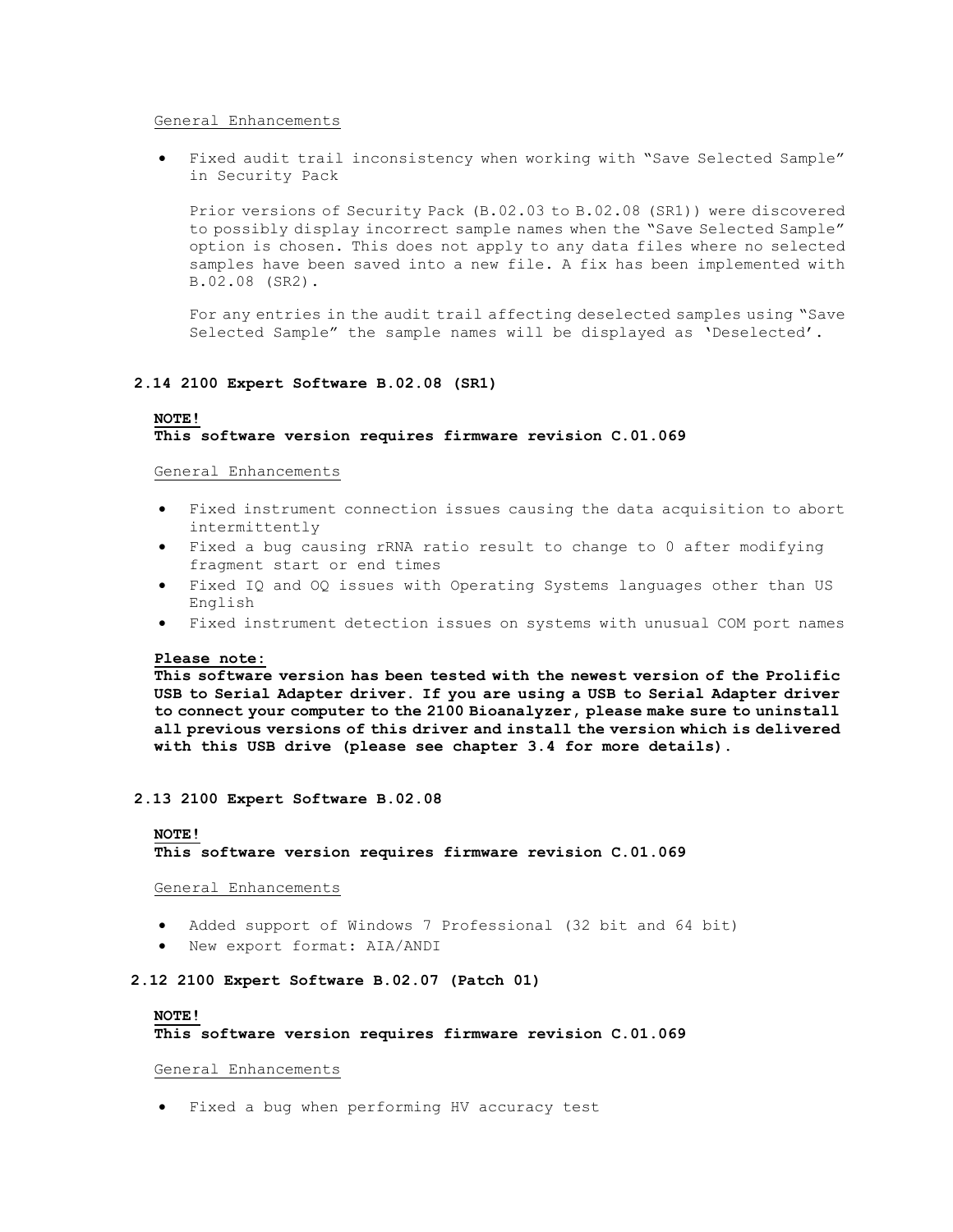#### General Enhancements

• Fixed audit trail inconsistency when working with "Save Selected Sample" in Security Pack

Prior versions of Security Pack (B.02.03 to B.02.08 (SR1)) were discovered to possibly display incorrect sample names when the "Save Selected Sample" option is chosen. This does not apply to any data files where no selected samples have been saved into a new file. A fix has been implemented with B.02.08 (SR2).

For any entries in the audit trail affecting deselected samples using "Save Selected Sample" the sample names will be displayed as 'Deselected'.

# **2.14 2100 Expert Software B.02.08 (SR1)**

# **NOTE!**

# **This software version requires firmware revision C.01.069**

General Enhancements

- Fixed instrument connection issues causing the data acquisition to abort intermittently
- Fixed a bug causing rRNA ratio result to change to 0 after modifying fragment start or end times
- Fixed IQ and OQ issues with Operating Systems languages other than US English
- Fixed instrument detection issues on systems with unusual COM port names

#### **Please note:**

**This software version has been tested with the newest version of the Prolific USB to Serial Adapter driver. If you are using a USB to Serial Adapter driver to connect your computer to the 2100 Bioanalyzer, please make sure to uninstall all previous versions of this driver and install the version which is delivered with this USB drive (please see chapter 3.4 for more details).**

#### **2.13 2100 Expert Software B.02.08**

# **NOTE!**

# **This software version requires firmware revision C.01.069**

General Enhancements

- Added support of Windows 7 Professional (32 bit and 64 bit)
- New export format: AIA/ANDI

# **2.12 2100 Expert Software B.02.07 (Patch 01)**

#### **NOTE!**

**This software version requires firmware revision C.01.069**

# General Enhancements

• Fixed a bug when performing HV accuracy test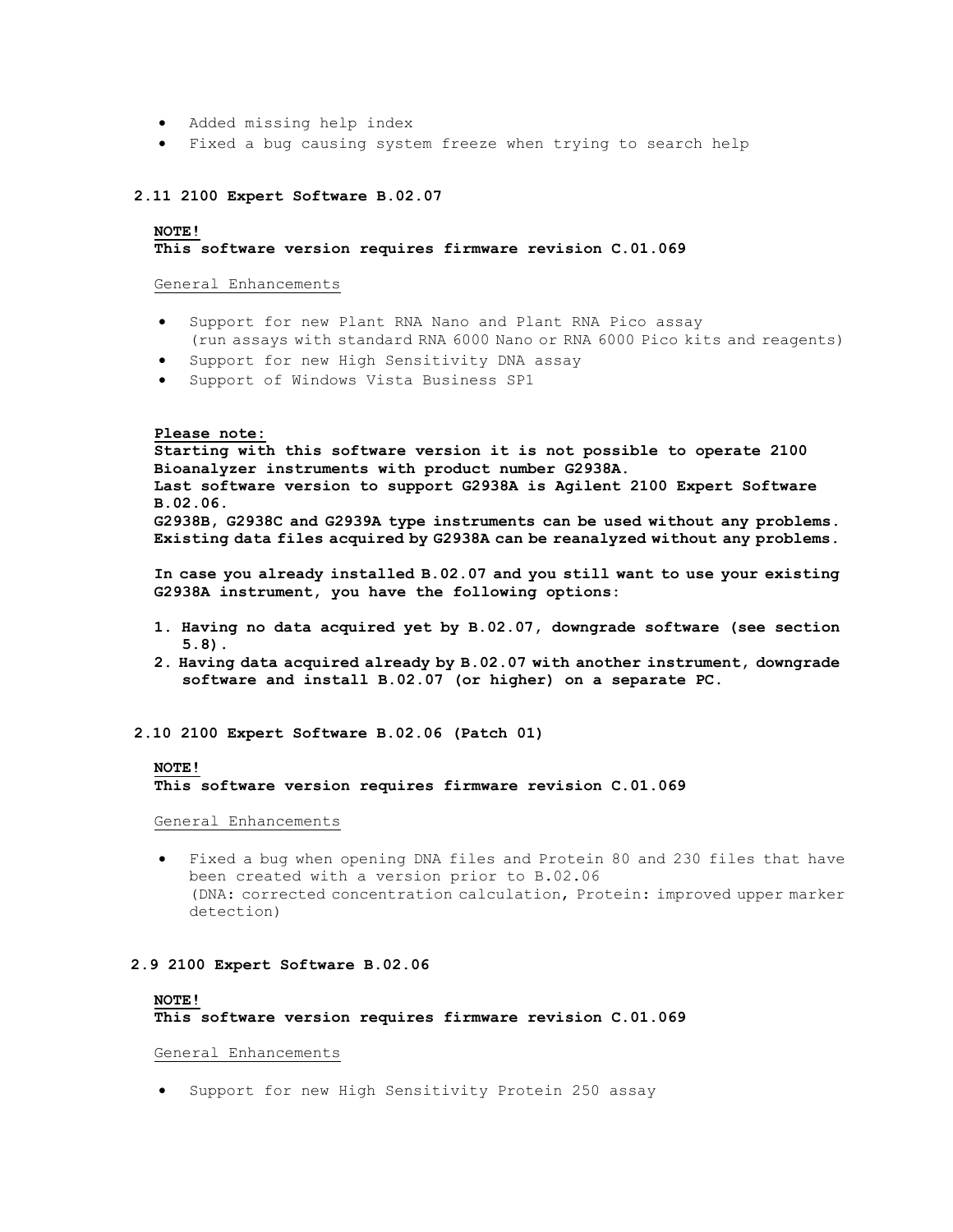- Added missing help index
- Fixed a bug causing system freeze when trying to search help

### **2.11 2100 Expert Software B.02.07**

# **NOTE! This software version requires firmware revision C.01.069**

General Enhancements

- Support for new Plant RNA Nano and Plant RNA Pico assay (run assays with standard RNA 6000 Nano or RNA 6000 Pico kits and reagents)
- Support for new High Sensitivity DNA assay
- Support of Windows Vista Business SP1

# **Please note:**

**Starting with this software version it is not possible to operate 2100 Bioanalyzer instruments with product number G2938A. Last software version to support G2938A is Agilent 2100 Expert Software B.02.06. G2938B, G2938C and G2939A type instruments can be used without any problems. Existing data files acquired by G2938A can be reanalyzed without any problems.**

**In case you already installed B.02.07 and you still want to use your existing G2938A instrument, you have the following options:**

- **1. Having no data acquired yet by B.02.07, downgrade software (see section 5.8).**
- **2. Having data acquired already by B.02.07 with another instrument, downgrade software and install B.02.07 (or higher) on a separate PC.**

#### **2.10 2100 Expert Software B.02.06 (Patch 01)**

#### **NOTE!**

**This software version requires firmware revision C.01.069**

# General Enhancements

• Fixed a bug when opening DNA files and Protein 80 and 230 files that have been created with a version prior to B.02.06 (DNA: corrected concentration calculation, Protein: improved upper marker detection)

#### **2.9 2100 Expert Software B.02.06**

#### **NOTE!**

**This software version requires firmware revision C.01.069**

# General Enhancements

• Support for new High Sensitivity Protein 250 assay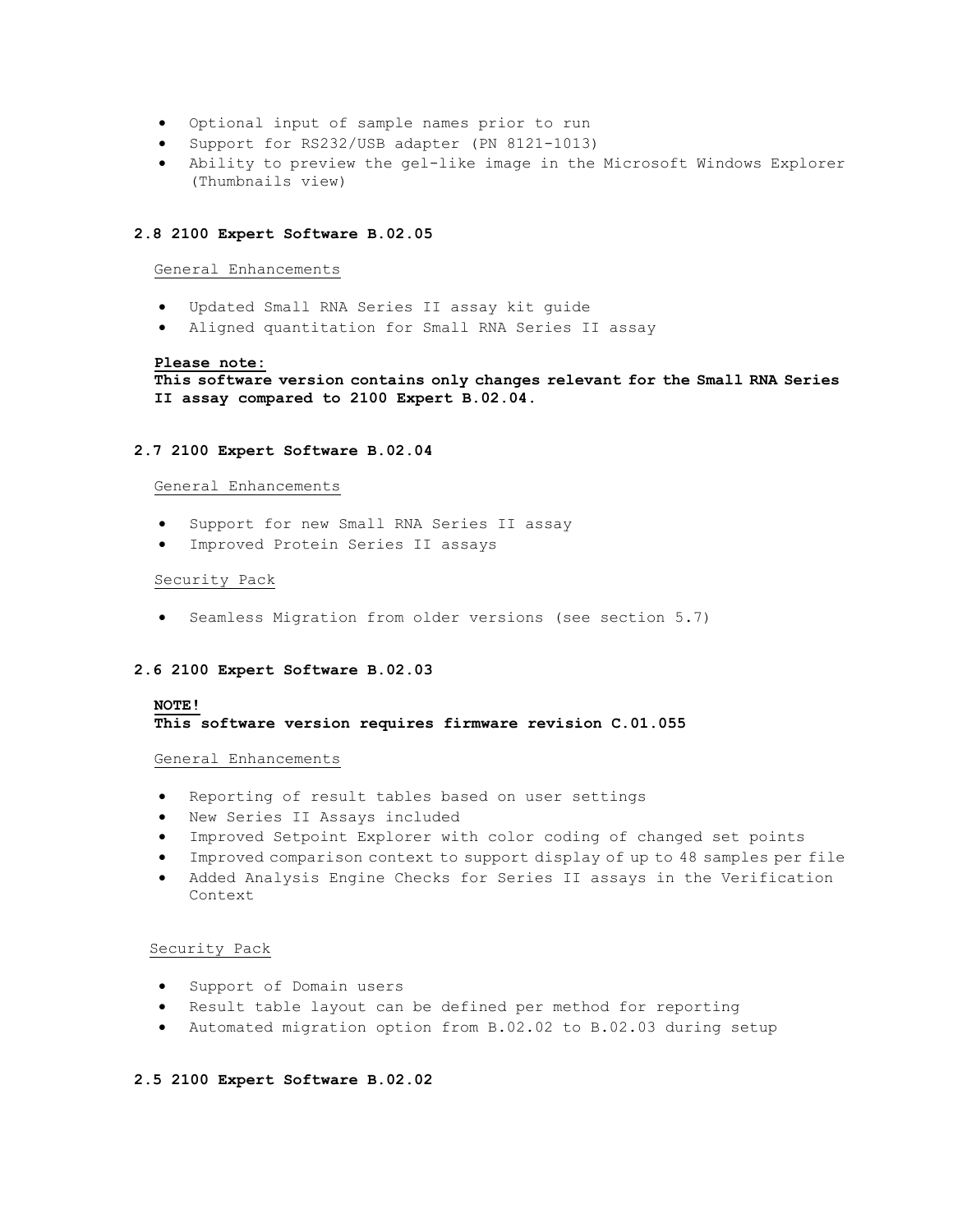- Optional input of sample names prior to run
- Support for RS232/USB adapter (PN 8121-1013)
- Ability to preview the gel-like image in the Microsoft Windows Explorer (Thumbnails view)

# **2.8 2100 Expert Software B.02.05**

General Enhancements

- Updated Small RNA Series II assay kit guide
- Aligned quantitation for Small RNA Series II assay

#### **Please note:**

**This software version contains only changes relevant for the Small RNA Series II assay compared to 2100 Expert B.02.04.**

#### **2.7 2100 Expert Software B.02.04**

# General Enhancements

- Support for new Small RNA Series II assay
- Improved Protein Series II assays

# Security Pack

• Seamless Migration from older versions (see section 5.7)

### **2.6 2100 Expert Software B.02.03**

#### **NOTE!**

# **This software version requires firmware revision C.01.055**

#### General Enhancements

- Reporting of result tables based on user settings
- New Series II Assays included
- Improved Setpoint Explorer with color coding of changed set points
- Improved comparison context to support display of up to 48 samples per file
- Added Analysis Engine Checks for Series II assays in the Verification Context

# Security Pack

- Support of Domain users
- Result table layout can be defined per method for reporting
- Automated migration option from B.02.02 to B.02.03 during setup

# **2.5 2100 Expert Software B.02.02**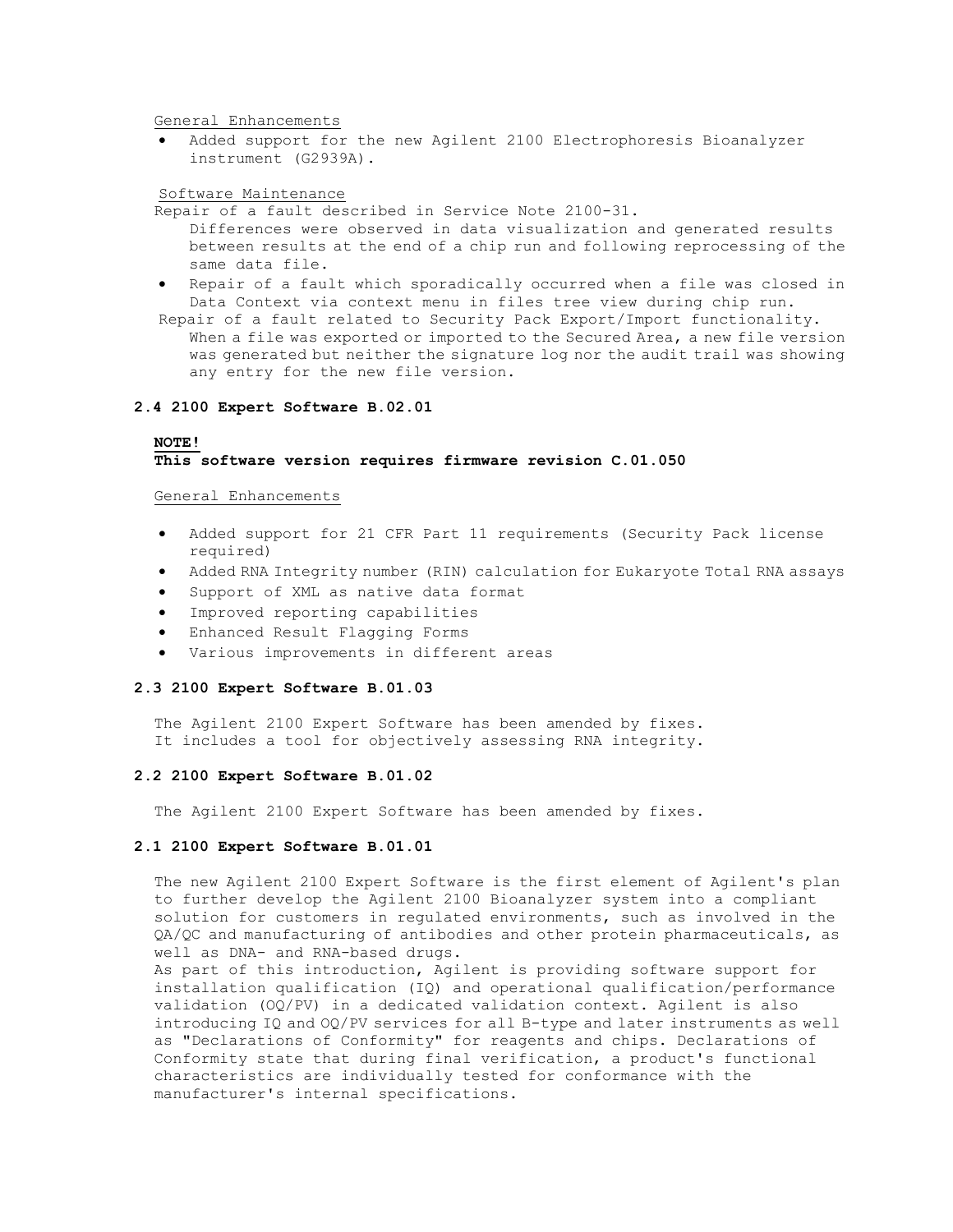General Enhancements

Added support for the new Agilent 2100 Electrophoresis Bioanalyzer instrument (G2939A).

Software Maintenance

Repair of a fault described in Service Note 2100-31.

- Differences were observed in data visualization and generated results between results at the end of a chip run and following reprocessing of the same data file.
- Repair of a fault which sporadically occurred when a file was closed in Data Context via context menu in files tree view during chip run.
- Repair of a fault related to Security Pack Export/Import functionality. When a file was exported or imported to the Secured Area, a new file version was generated but neither the signature log nor the audit trail was showing any entry for the new file version.

# **2.4 2100 Expert Software B.02.01**

### **NOTE!**

# **This software version requires firmware revision C.01.050**

#### General Enhancements

- Added support for 21 CFR Part 11 requirements (Security Pack license required)
- Added RNA Integrity number (RIN) calculation for Eukaryote Total RNA assays
- Support of XML as native data format
- Improved reporting capabilities
- Enhanced Result Flagging Forms
- Various improvements in different areas

#### **2.3 2100 Expert Software B.01.03**

The Agilent 2100 Expert Software has been amended by fixes. It includes a tool for objectively assessing RNA integrity.

#### **2.2 2100 Expert Software B.01.02**

The Agilent 2100 Expert Software has been amended by fixes.

# **2.1 2100 Expert Software B.01.01**

The new Agilent 2100 Expert Software is the first element of Agilent's plan to further develop the Agilent 2100 Bioanalyzer system into a compliant solution for customers in regulated environments, such as involved in the QA/QC and manufacturing of antibodies and other protein pharmaceuticals, as well as DNA- and RNA-based drugs.

As part of this introduction, Agilent is providing software support for installation qualification (IQ) and operational qualification/performance validation (OQ/PV) in a dedicated validation context. Agilent is also introducing IQ and OQ/PV services for all B-type and later instruments as well as "Declarations of Conformity" for reagents and chips. Declarations of Conformity state that during final verification, a product's functional characteristics are individually tested for conformance with the manufacturer's internal specifications.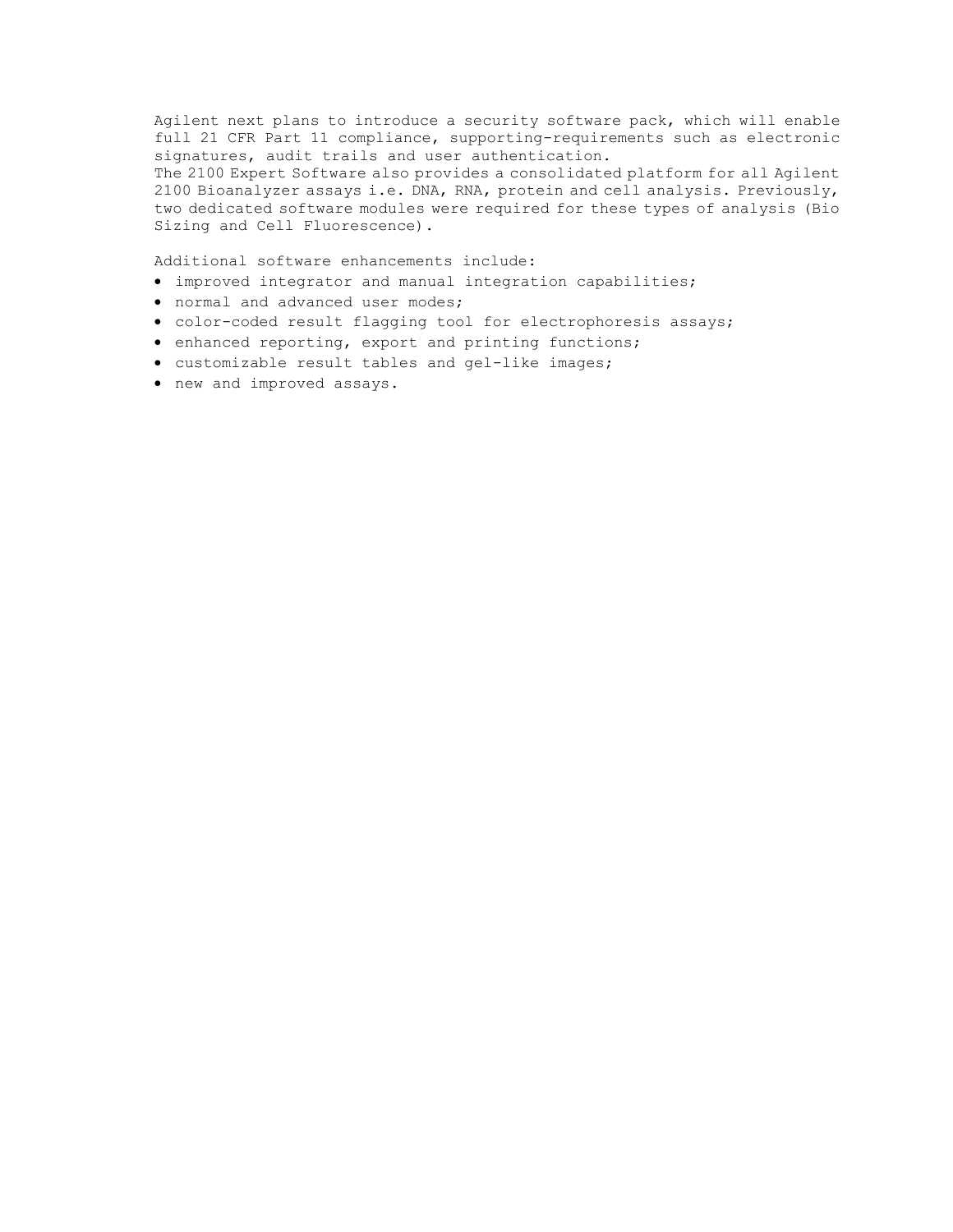Agilent next plans to introduce a security software pack, which will enable full 21 CFR Part 11 compliance, supporting-requirements such as electronic signatures, audit trails and user authentication.

The 2100 Expert Software also provides a consolidated platform for all Agilent 2100 Bioanalyzer assays i.e. DNA, RNA, protein and cell analysis. Previously, two dedicated software modules were required for these types of analysis (Bio Sizing and Cell Fluorescence).

Additional software enhancements include:

- improved integrator and manual integration capabilities;
- normal and advanced user modes;
- color-coded result flagging tool for electrophoresis assays;
- enhanced reporting, export and printing functions;
- customizable result tables and gel-like images;
- new and improved assays.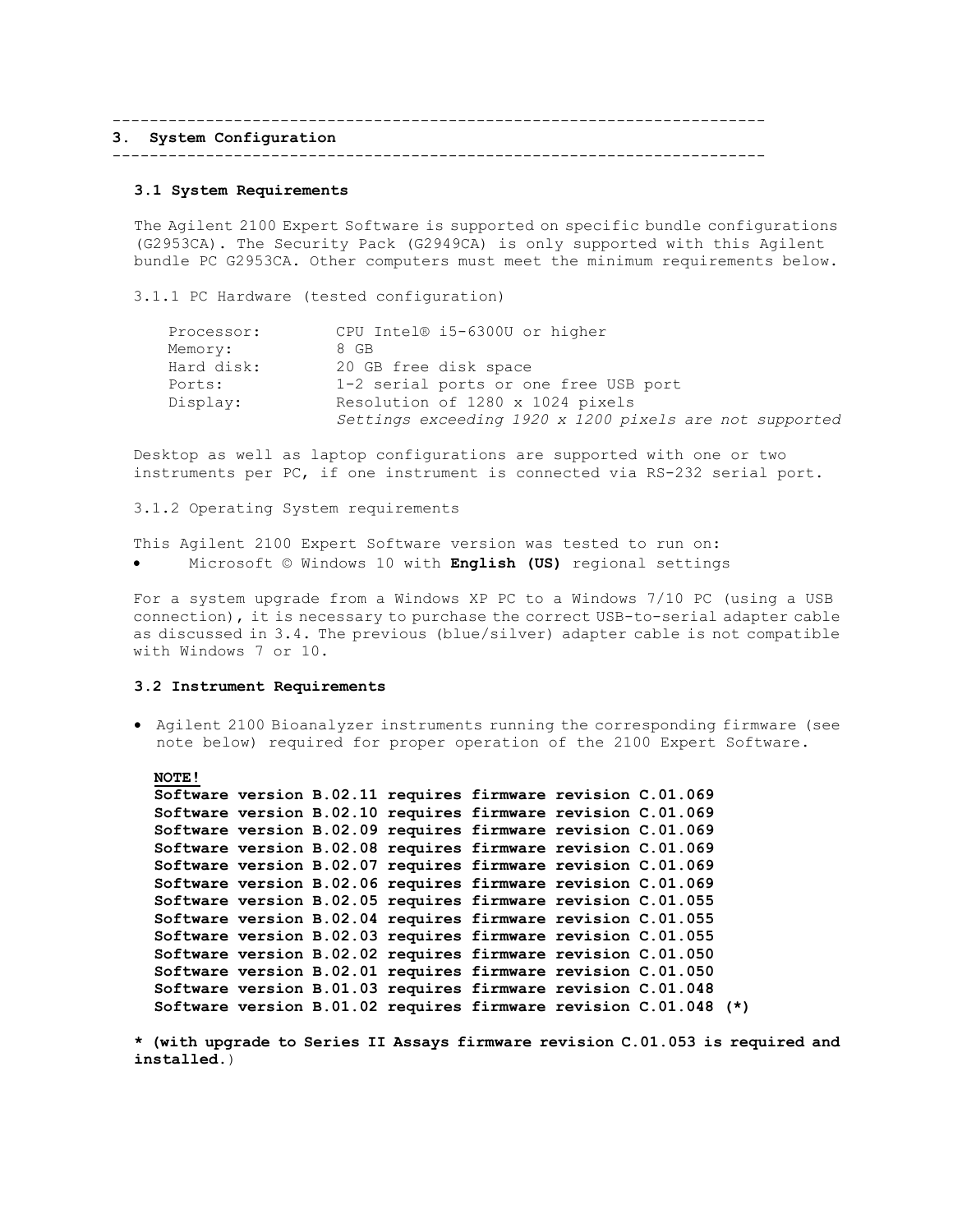---------------------------------------------------------------------- **3. System Configuration** ----------------------------------------------------------------------

#### **3.1 System Requirements**

The Agilent 2100 Expert Software is supported on specific bundle configurations (G2953CA). The Security Pack (G2949CA) is only supported with this Agilent bundle PC G2953CA. Other computers must meet the minimum requirements below.

3.1.1 PC Hardware (tested configuration)

| Processor: | CPU Intel® i5-6300U or higher                           |
|------------|---------------------------------------------------------|
| Memory:    | 8 GB                                                    |
| Hard disk: | 20 GB free disk space                                   |
| Ports:     | 1-2 serial ports or one free USB port                   |
| Display:   | Resolution of 1280 x 1024 pixels                        |
|            | Settings exceeding 1920 x 1200 pixels are not supported |

Desktop as well as laptop configurations are supported with one or two instruments per PC, if one instrument is connected via RS-232 serial port.

3.1.2 Operating System requirements

This Agilent 2100 Expert Software version was tested to run on: • Microsoft © Windows 10 with **English (US)** regional settings

For a system upgrade from a Windows XP PC to a Windows 7/10 PC (using a USB connection), it is necessary to purchase the correct USB-to-serial adapter cable as discussed in 3.4. The previous (blue/silver) adapter cable is not compatible with Windows 7 or 10.

### **3.2 Instrument Requirements**

• Agilent 2100 Bioanalyzer instruments running the corresponding firmware (see note below) required for proper operation of the 2100 Expert Software.

**NOTE!**

```
Software version B.02.11 requires firmware revision C.01.069
Software version B.02.10 requires firmware revision C.01.069
Software version B.02.09 requires firmware revision C.01.069
Software version B.02.08 requires firmware revision C.01.069
Software version B.02.07 requires firmware revision C.01.069
Software version B.02.06 requires firmware revision C.01.069
Software version B.02.05 requires firmware revision C.01.055
Software version B.02.04 requires firmware revision C.01.055
Software version B.02.03 requires firmware revision C.01.055
Software version B.02.02 requires firmware revision C.01.050
Software version B.02.01 requires firmware revision C.01.050
Software version B.01.03 requires firmware revision C.01.048
Software version B.01.02 requires firmware revision C.01.048 (*)
```
**\* (with upgrade to Series II Assays firmware revision C.01.053 is required and installed**.)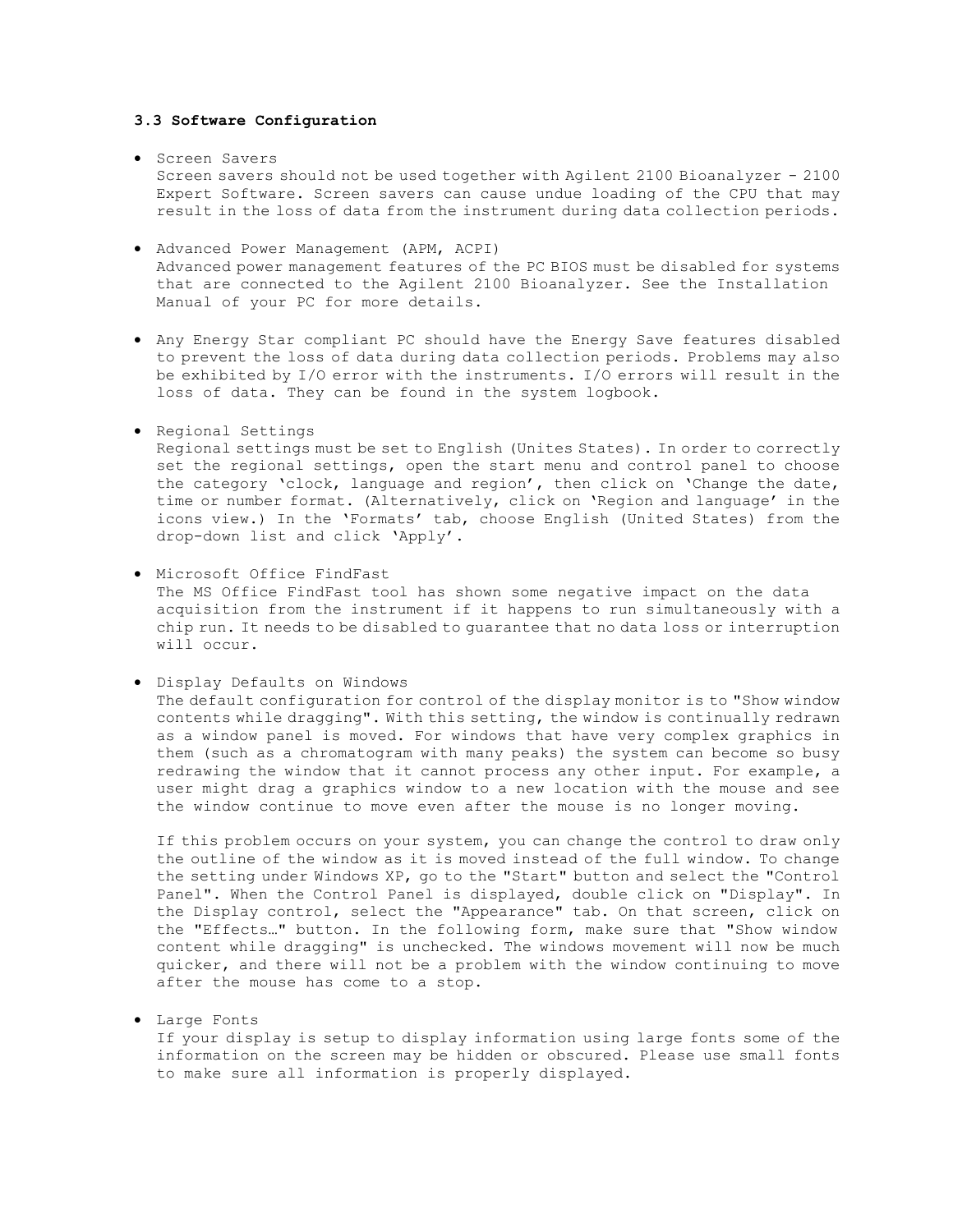# **3.3 Software Configuration**

#### • Screen Savers

Screen savers should not be used together with Agilent 2100 Bioanalyzer - 2100 Expert Software. Screen savers can cause undue loading of the CPU that may result in the loss of data from the instrument during data collection periods.

- Advanced Power Management (APM, ACPI) Advanced power management features of the PC BIOS must be disabled for systems that are connected to the Agilent 2100 Bioanalyzer. See the Installation Manual of your PC for more details.
- Any Energy Star compliant PC should have the Energy Save features disabled to prevent the loss of data during data collection periods. Problems may also be exhibited by I/O error with the instruments. I/O errors will result in the loss of data. They can be found in the system logbook.
- Regional Settings

Regional settings must be set to English (Unites States). In order to correctly set the regional settings, open the start menu and control panel to choose the category 'clock, language and region', then click on 'Change the date, time or number format. (Alternatively, click on 'Region and language' in the icons view.) In the 'Formats' tab, choose English (United States) from the drop-down list and click 'Apply'.

• Microsoft Office FindFast The MS Office FindFast tool has shown some negative impact on the data acquisition from the instrument if it happens to run simultaneously with a chip run. It needs to be disabled to guarantee that no data loss or interruption will occur.

• Display Defaults on Windows The default configuration for control of the display monitor is to "Show window contents while dragging". With this setting, the window is continually redrawn as a window panel is moved. For windows that have very complex graphics in them (such as a chromatogram with many peaks) the system can become so busy redrawing the window that it cannot process any other input. For example, a user might drag a graphics window to a new location with the mouse and see the window continue to move even after the mouse is no longer moving.

If this problem occurs on your system, you can change the control to draw only the outline of the window as it is moved instead of the full window. To change the setting under Windows XP, go to the "Start" button and select the "Control Panel". When the Control Panel is displayed, double click on "Display". In the Display control, select the "Appearance" tab. On that screen, click on the "Effects…" button. In the following form, make sure that "Show window content while dragging" is unchecked. The windows movement will now be much quicker, and there will not be a problem with the window continuing to move after the mouse has come to a stop.

• Large Fonts

If your display is setup to display information using large fonts some of the information on the screen may be hidden or obscured. Please use small fonts to make sure all information is properly displayed.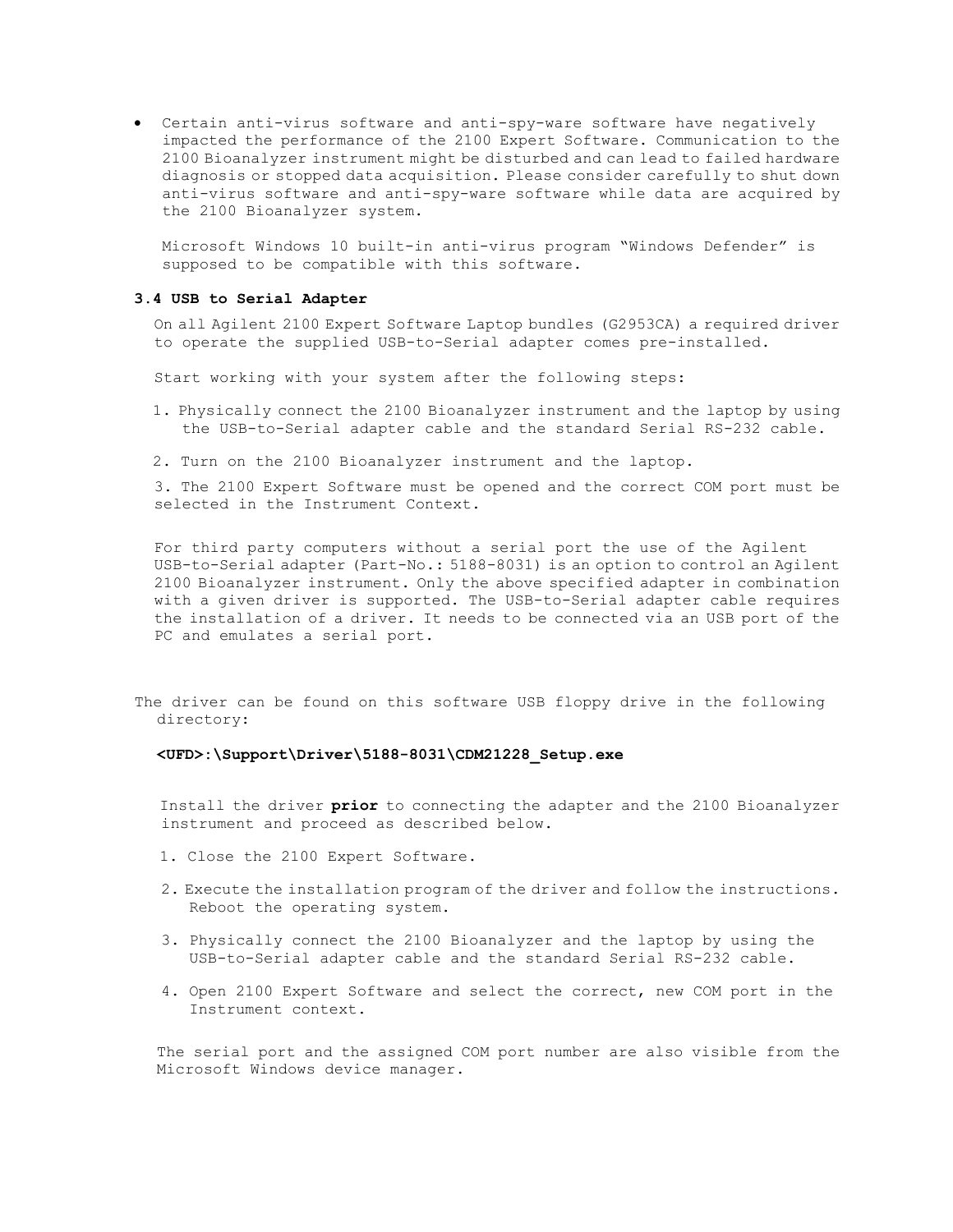• Certain anti-virus software and anti-spy-ware software have negatively impacted the performance of the 2100 Expert Software. Communication to the 2100 Bioanalyzer instrument might be disturbed and can lead to failed hardware diagnosis or stopped data acquisition. Please consider carefully to shut down anti-virus software and anti-spy-ware software while data are acquired by the 2100 Bioanalyzer system.

Microsoft Windows 10 built-in anti-virus program "Windows Defender" is supposed to be compatible with this software.

#### **3.4 USB to Serial Adapter**

On all Agilent 2100 Expert Software Laptop bundles (G2953CA) a required driver to operate the supplied USB-to-Serial adapter comes pre-installed.

Start working with your system after the following steps:

- 1. Physically connect the 2100 Bioanalyzer instrument and the laptop by using the USB-to-Serial adapter cable and the standard Serial RS-232 cable.
- 2. Turn on the 2100 Bioanalyzer instrument and the laptop.

3. The 2100 Expert Software must be opened and the correct COM port must be selected in the Instrument Context.

For third party computers without a serial port the use of the Agilent USB-to-Serial adapter (Part-No.: 5188-8031) is an option to control an Agilent 2100 Bioanalyzer instrument. Only the above specified adapter in combination with a given driver is supported. The USB-to-Serial adapter cable requires the installation of a driver. It needs to be connected via an USB port of the PC and emulates a serial port.

The driver can be found on this software USB floppy drive in the following directory:

# **<UFD>:\Support\Driver\5188-8031\CDM21228\_Setup.exe**

Install the driver **prior** to connecting the adapter and the 2100 Bioanalyzer instrument and proceed as described below.

- 1. Close the 2100 Expert Software.
- 2. Execute the installation program of the driver and follow the instructions. Reboot the operating system.
- 3. Physically connect the 2100 Bioanalyzer and the laptop by using the USB-to-Serial adapter cable and the standard Serial RS-232 cable.
- 4. Open 2100 Expert Software and select the correct, new COM port in the Instrument context.

The serial port and the assigned COM port number are also visible from the Microsoft Windows device manager.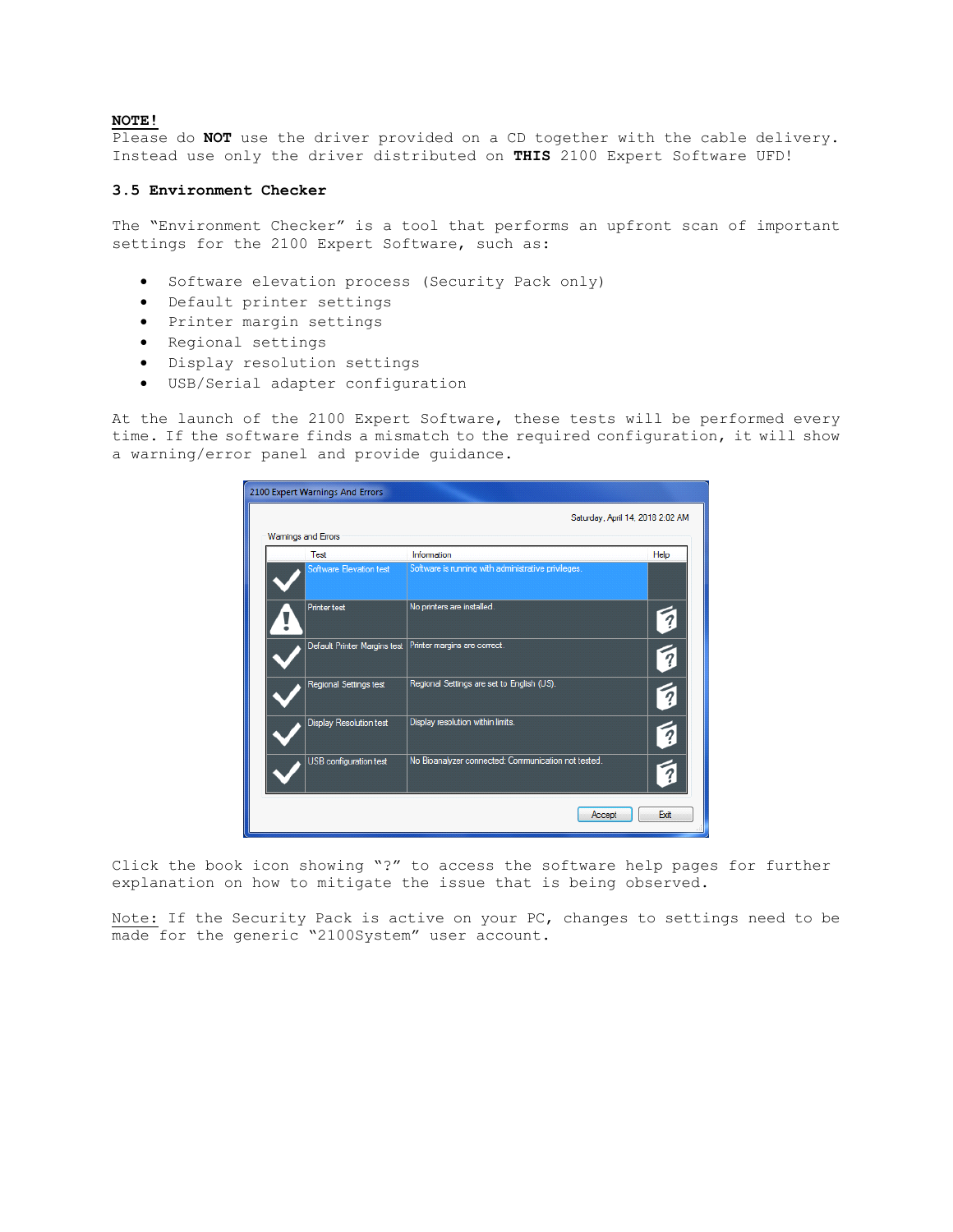#### **NOTE!**

Please do **NOT** use the driver provided on a CD together with the cable delivery. Instead use only the driver distributed on **THIS** 2100 Expert Software UFD!

# **3.5 Environment Checker**

The "Environment Checker" is a tool that performs an upfront scan of important settings for the 2100 Expert Software, such as:

- Software elevation process (Security Pack only)
- Default printer settings
- Printer margin settings
- Regional settings
- Display resolution settings
- USB/Serial adapter configuration

At the launch of the 2100 Expert Software, these tests will be performed every time. If the software finds a mismatch to the required configuration, it will show a warning/error panel and provide guidance.

| Test                |                                | Information                                         | Help                |
|---------------------|--------------------------------|-----------------------------------------------------|---------------------|
|                     | Software Elevation test        | Software is running with administrative privileges. |                     |
| <b>Printer test</b> |                                | No printers are installed.                          |                     |
|                     | Default Printer Margins test   | Printer margins are correct.                        | $\boldsymbol{\eta}$ |
|                     | Regional Settings test         | Regional Settings are set to English (US).          |                     |
|                     | <b>Display Resolution test</b> | Display resolution within limits.                   |                     |
|                     | <b>USB</b> configuration test  | No Bioanalyzer connected: Communication not tested. |                     |

Click the book icon showing "?" to access the software help pages for further explanation on how to mitigate the issue that is being observed.

Note: If the Security Pack is active on your PC, changes to settings need to be made for the generic "2100System" user account.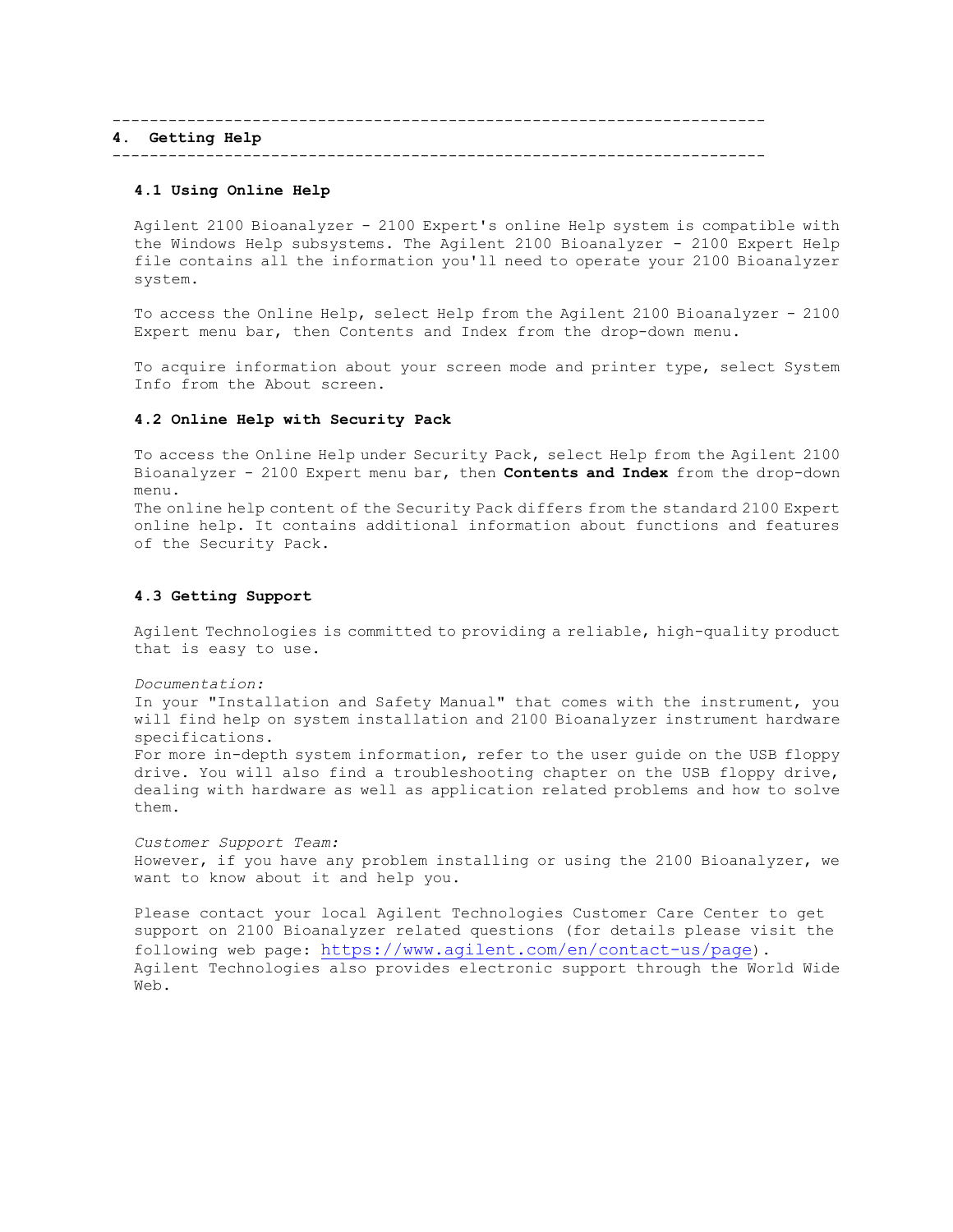---------------------------------------------------------------------- **4. Getting Help** ----------------------------------------------------------------------

#### **4.1 Using Online Help**

Agilent 2100 Bioanalyzer - 2100 Expert's online Help system is compatible with the Windows Help subsystems. The Agilent 2100 Bioanalyzer - 2100 Expert Help file contains all the information you'll need to operate your 2100 Bioanalyzer system.

To access the Online Help, select Help from the Agilent 2100 Bioanalyzer - 2100 Expert menu bar, then Contents and Index from the drop-down menu.

To acquire information about your screen mode and printer type, select System Info from the About screen.

### **4.2 Online Help with Security Pack**

To access the Online Help under Security Pack, select Help from the Agilent 2100 Bioanalyzer - 2100 Expert menu bar, then **Contents and Index** from the drop-down menu.

The online help content of the Security Pack differs from the standard 2100 Expert online help. It contains additional information about functions and features of the Security Pack.

#### **4.3 Getting Support**

Agilent Technologies is committed to providing a reliable, high-quality product that is easy to use.

*Documentation:*

In your "Installation and Safety Manual" that comes with the instrument, you will find help on system installation and 2100 Bioanalyzer instrument hardware specifications.

For more in-depth system information, refer to the user guide on the USB floppy drive. You will also find a troubleshooting chapter on the USB floppy drive, dealing with hardware as well as application related problems and how to solve them.

*Customer Support Team:* However, if you have any problem installing or using the 2100 Bioanalyzer, we want to know about it and help you.

Please contact your local Agilent Technologies Customer Care Center to get support on 2100 Bioanalyzer related questions (for details please visit the following web page: <https://www.agilent.com/en/contact-us/page>). Agilent Technologies also provides electronic support through the World Wide Web.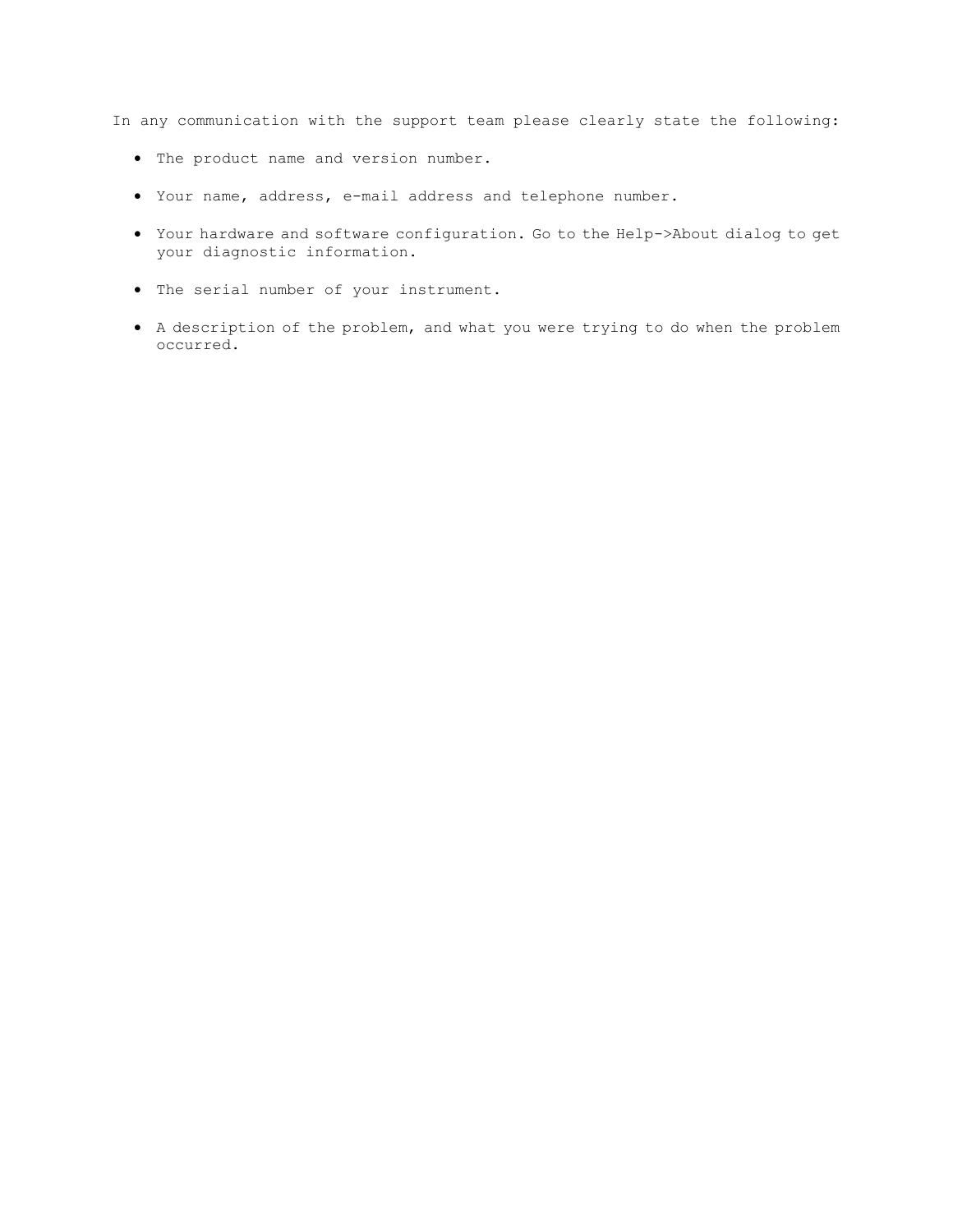In any communication with the support team please clearly state the following:

- The product name and version number.
- Your name, address, e-mail address and telephone number.
- Your hardware and software configuration. Go to the Help->About dialog to get your diagnostic information.
- The serial number of your instrument.
- A description of the problem, and what you were trying to do when the problem occurred.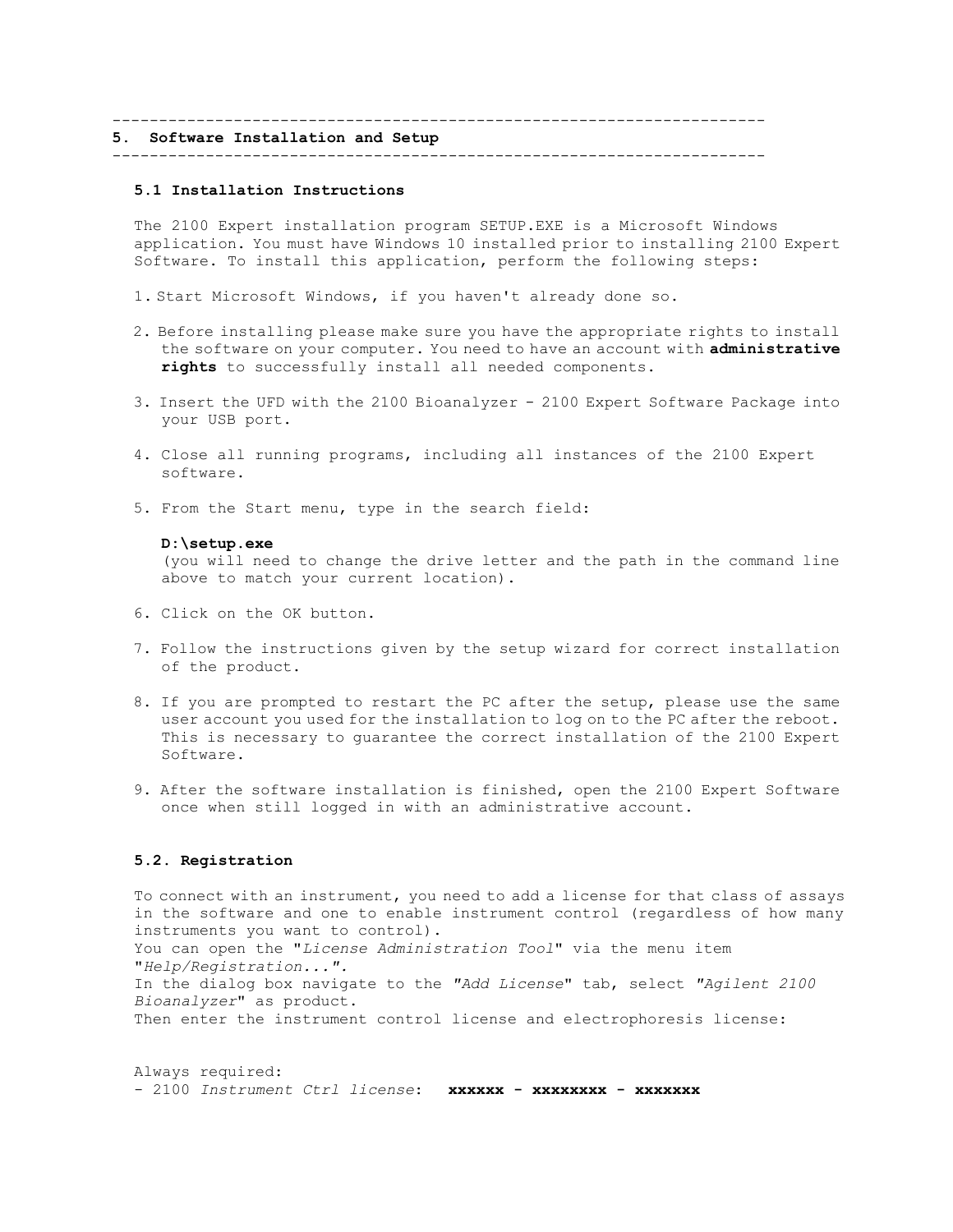# ---------------------------------------------------------------------- **5. Software Installation and Setup** ----------------------------------------------------------------------

### **5.1 Installation Instructions**

The 2100 Expert installation program SETUP.EXE is a Microsoft Windows application. You must have Windows 10 installed prior to installing 2100 Expert Software. To install this application, perform the following steps:

- 1. Start Microsoft Windows, if you haven't already done so.
- 2. Before installing please make sure you have the appropriate rights to install the software on your computer. You need to have an account with **administrative rights** to successfully install all needed components.
- 3. Insert the UFD with the 2100 Bioanalyzer 2100 Expert Software Package into your USB port.
- 4. Close all running programs, including all instances of the 2100 Expert software.
- 5. From the Start menu, type in the search field:

# **D:\setup.exe**

(you will need to change the drive letter and the path in the command line above to match your current location).

- 6. Click on the OK button.
- 7. Follow the instructions given by the setup wizard for correct installation of the product.
- 8. If you are prompted to restart the PC after the setup, please use the same user account you used for the installation to log on to the PC after the reboot. This is necessary to guarantee the correct installation of the 2100 Expert Software.
- 9. After the software installation is finished, open the 2100 Expert Software once when still logged in with an administrative account.

#### **5.2. Registration**

To connect with an instrument, you need to add a license for that class of assays in the software and one to enable instrument control (regardless of how many instruments you want to control). You can open the "*License Administration Tool*" via the menu item "*Help/Registration...".*  In the dialog box navigate to the *"Add License*" tab, select *"Agilent 2100 Bioanalyzer*" as product. Then enter the instrument control license and electrophoresis license:

Always required: - 2100 *Instrument Ctrl license*: **xxxxxx - xxxxxxxx - xxxxxxx**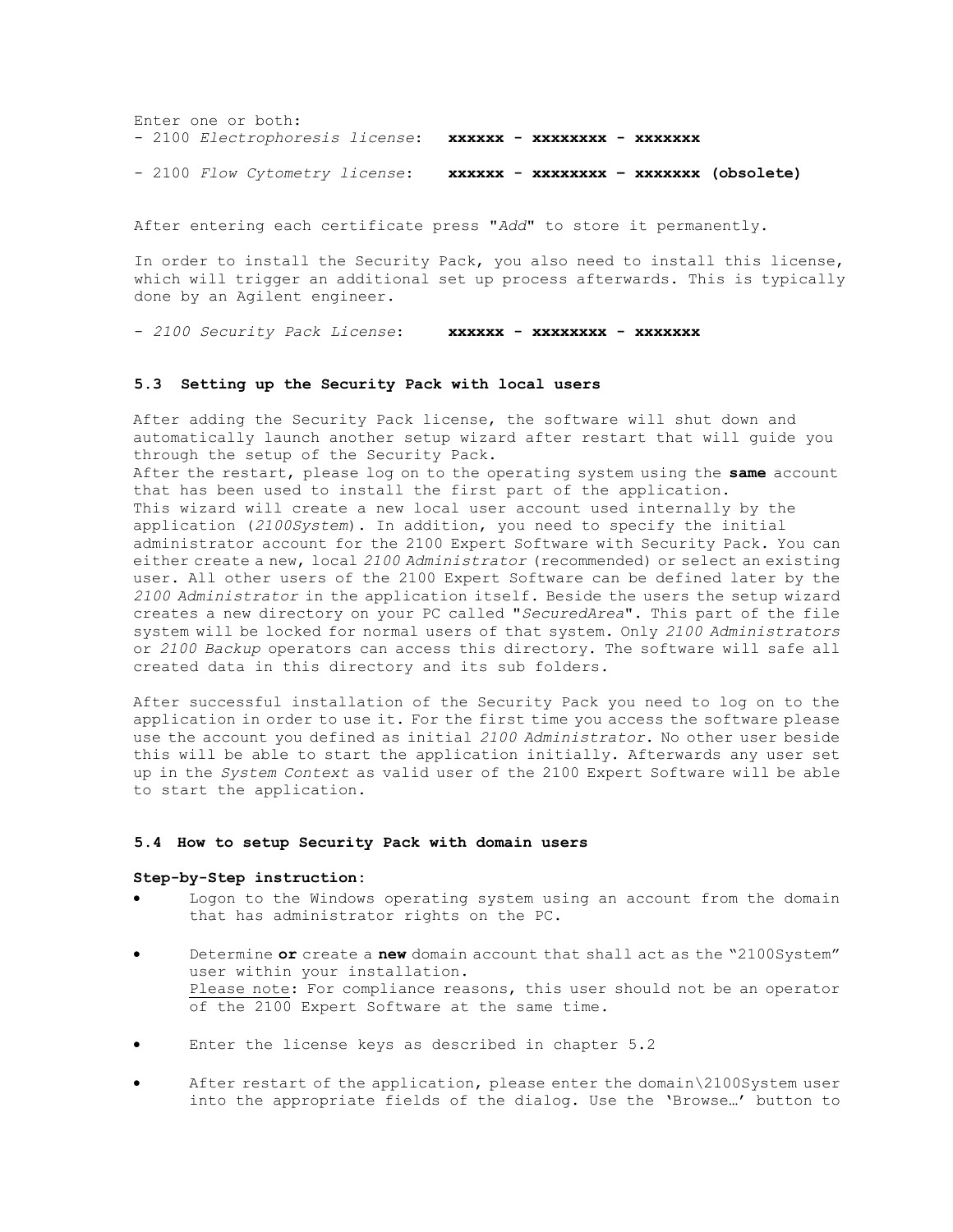Enter one or both: - 2100 *Electrophoresis license*: **xxxxxx - xxxxxxxx - xxxxxxx** - 2100 *Flow Cytometry license*: **xxxxxx - xxxxxxxx – xxxxxxx (obsolete)**

After entering each certificate press "*Add*" to store it permanently.

In order to install the Security Pack, you also need to install this license, which will trigger an additional set up process afterwards. This is typically done by an Agilent engineer.

- *2100 Security Pack License*: **xxxxxx - xxxxxxxx - xxxxxxx**

# **5.3 Setting up the Security Pack with local users**

After adding the Security Pack license, the software will shut down and automatically launch another setup wizard after restart that will guide you through the setup of the Security Pack.

After the restart, please log on to the operating system using the **same** account that has been used to install the first part of the application.

This wizard will create a new local user account used internally by the application (*2100System*). In addition, you need to specify the initial administrator account for the 2100 Expert Software with Security Pack. You can either create a new, local *2100 Administrator* (recommended) or select an existing user. All other users of the 2100 Expert Software can be defined later by the *2100 Administrator* in the application itself. Beside the users the setup wizard creates a new directory on your PC called "*SecuredArea*". This part of the file system will be locked for normal users of that system. Only *2100 Administrators*  or *2100 Backup* operators can access this directory. The software will safe all created data in this directory and its sub folders.

After successful installation of the Security Pack you need to log on to the application in order to use it. For the first time you access the software please use the account you defined as initial *2100 Administrator*. No other user beside this will be able to start the application initially. Afterwards any user set up in the *System Context* as valid user of the 2100 Expert Software will be able to start the application.

### **5.4 How to setup Security Pack with domain users**

#### **Step-by-Step instruction:**

- Logon to the Windows operating system using an account from the domain that has administrator rights on the PC.
- Determine **or** create a **new** domain account that shall act as the "2100System" user within your installation. Please note: For compliance reasons, this user should not be an operator of the 2100 Expert Software at the same time.
- Enter the license keys as described in chapter 5.2
- After restart of the application, please enter the domain\2100System user into the appropriate fields of the dialog. Use the 'Browse…' button to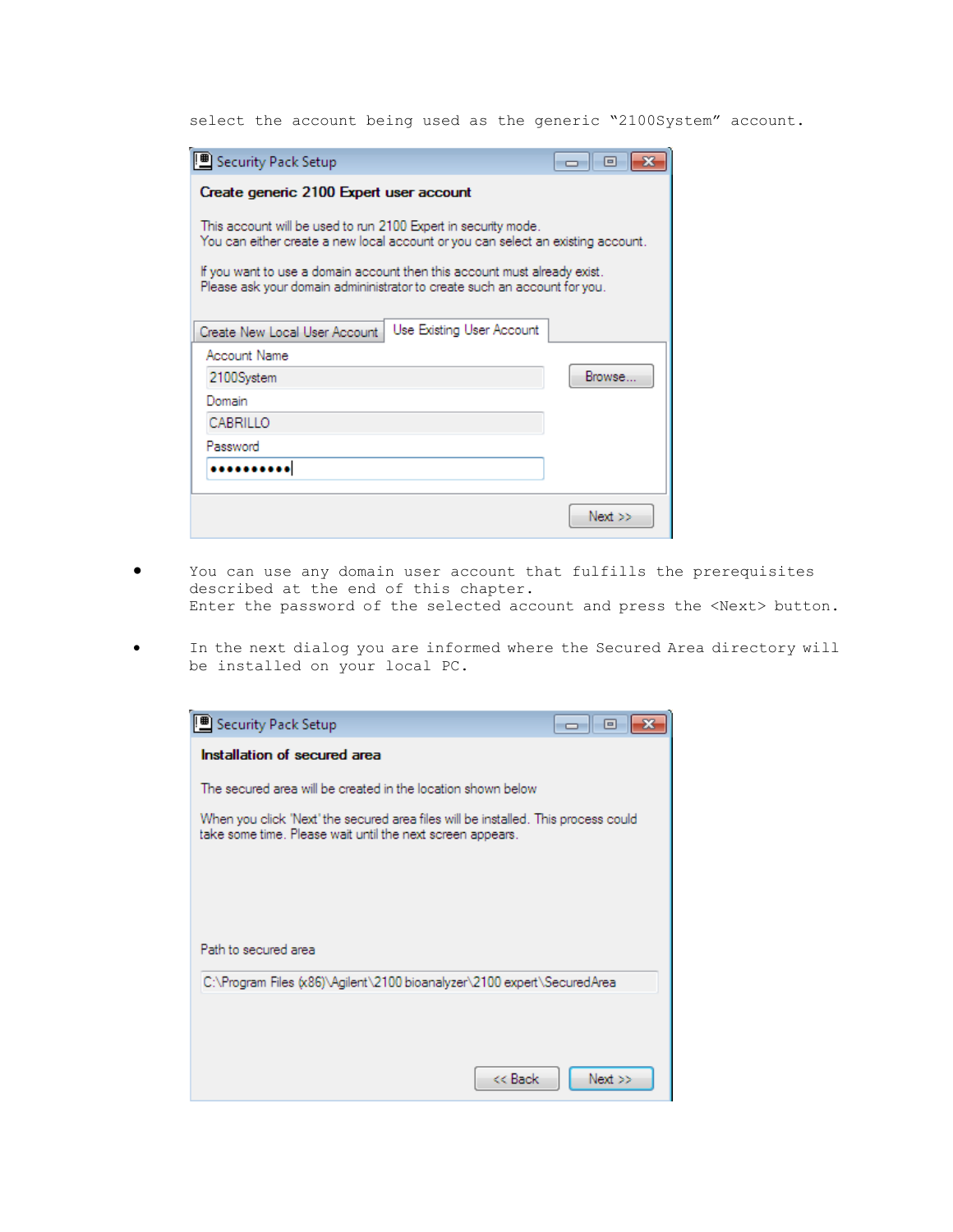select the account being used as the generic "2100System" account.

| <b>!</b> Security Pack Setup<br><b>b</b> 0                                                                                                                                                                                                                                                                   |        |  |  |  |
|--------------------------------------------------------------------------------------------------------------------------------------------------------------------------------------------------------------------------------------------------------------------------------------------------------------|--------|--|--|--|
| Create generic 2100 Expert user account                                                                                                                                                                                                                                                                      |        |  |  |  |
| This account will be used to run 2100 Expert in security mode.<br>You can either create a new local account or you can select an existing account.<br>If you want to use a domain account then this account must already exist.<br>Please ask your domain admininistrator to create such an account for you. |        |  |  |  |
| Use Existing User Account<br>Create New Local User Account                                                                                                                                                                                                                                                   |        |  |  |  |
| <b>Account Name</b>                                                                                                                                                                                                                                                                                          |        |  |  |  |
| 2100System                                                                                                                                                                                                                                                                                                   | Browse |  |  |  |
| Domain                                                                                                                                                                                                                                                                                                       |        |  |  |  |
| CABRILLO                                                                                                                                                                                                                                                                                                     |        |  |  |  |
| Password                                                                                                                                                                                                                                                                                                     |        |  |  |  |
|                                                                                                                                                                                                                                                                                                              |        |  |  |  |
|                                                                                                                                                                                                                                                                                                              | Next   |  |  |  |

- You can use any domain user account that fulfills the prerequisites described at the end of this chapter. Enter the password of the selected account and press the <Next> button.
- In the next dialog you are informed where the Secured Area directory will be installed on your local PC.

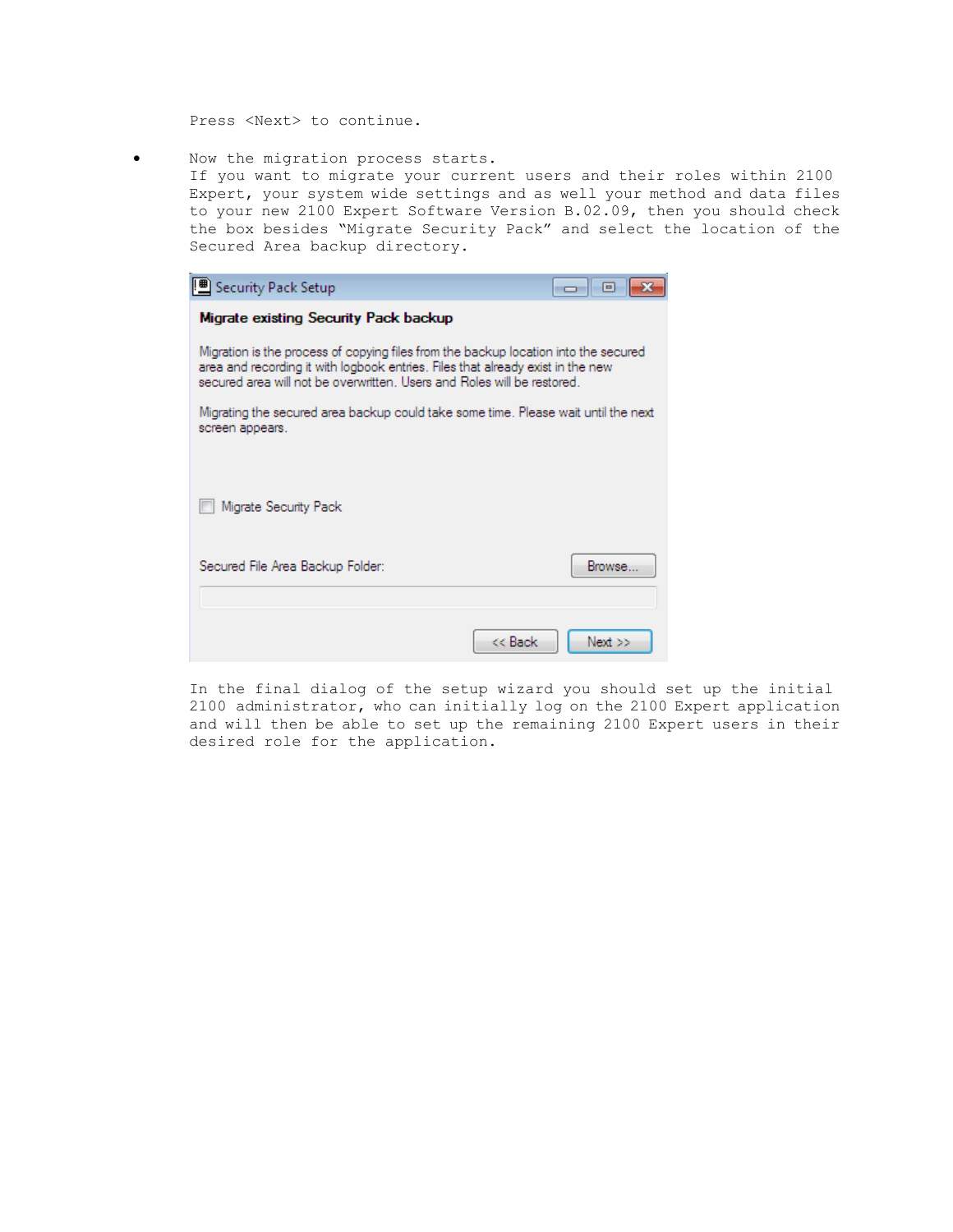Press <Next> to continue.

• Now the migration process starts.

If you want to migrate your current users and their roles within 2100 Expert, your system wide settings and as well your method and data files to your new 2100 Expert Software Version B.02.09, then you should check the box besides "Migrate Security Pack" and select the location of the Secured Area backup directory.

| <u> ■</u> Security Pack Setup<br>$\Box$                                                                                                                                                                                                           |  |  |
|---------------------------------------------------------------------------------------------------------------------------------------------------------------------------------------------------------------------------------------------------|--|--|
| Migrate existing Security Pack backup                                                                                                                                                                                                             |  |  |
| Migration is the process of copying files from the backup location into the secured<br>area and recording it with logbook entries. Files that already exist in the new<br>secured area will not be overwritten. Users and Roles will be restored. |  |  |
| Migrating the secured area backup could take some time. Please wait until the next<br>screen appears.                                                                                                                                             |  |  |
| Migrate Security Pack                                                                                                                                                                                                                             |  |  |
| Browse<br>Secured File Area Backup Folder:                                                                                                                                                                                                        |  |  |
| << Back<br>Next                                                                                                                                                                                                                                   |  |  |

In the final dialog of the setup wizard you should set up the initial 2100 administrator, who can initially log on the 2100 Expert application and will then be able to set up the remaining 2100 Expert users in their desired role for the application.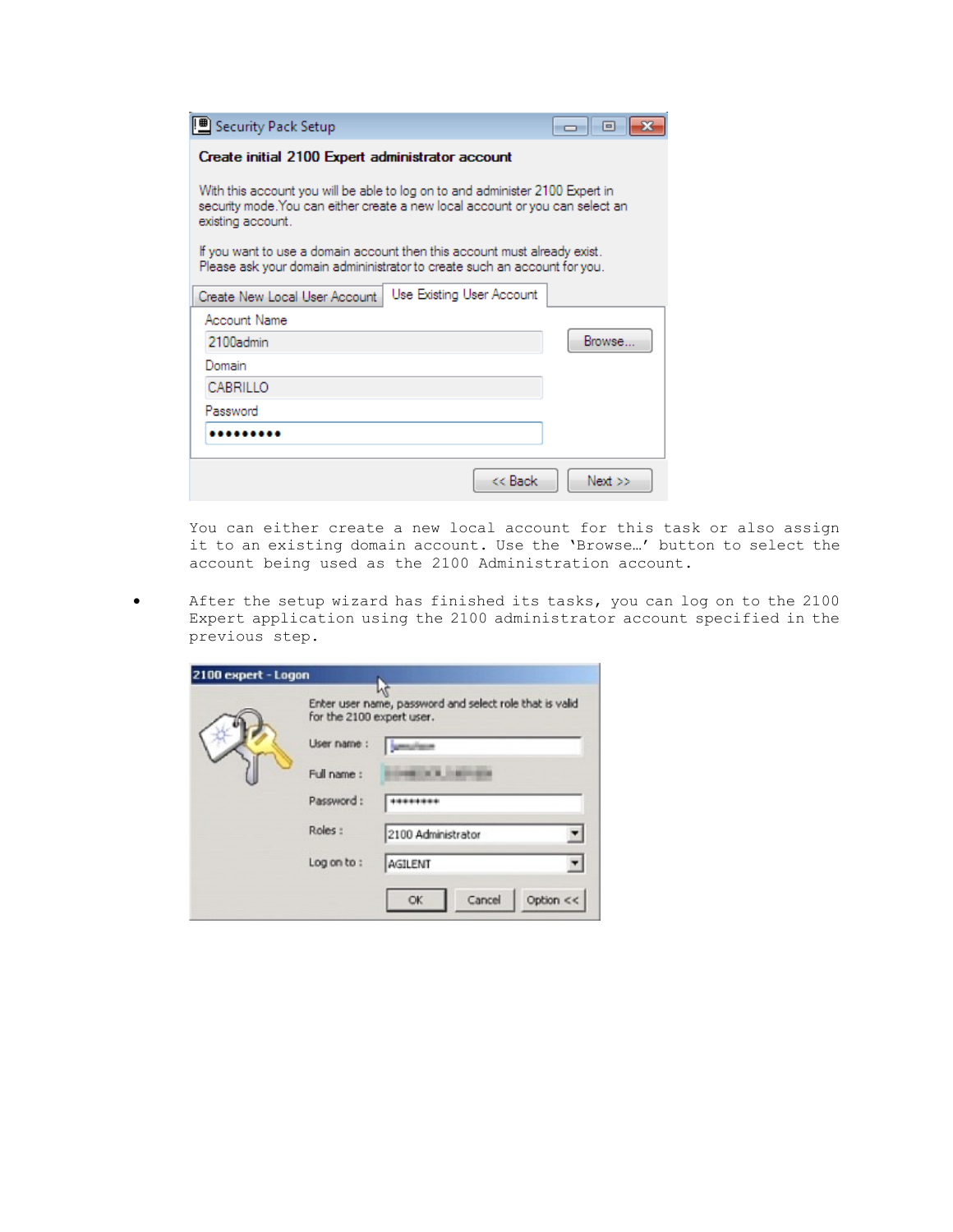| 9 Security Pack Setup                                                                                                                                                              | $\Box$   |  |  |  |
|------------------------------------------------------------------------------------------------------------------------------------------------------------------------------------|----------|--|--|--|
| Create initial 2100 Expert administrator account                                                                                                                                   |          |  |  |  |
| With this account you will be able to log on to and administer 2100 Expert in<br>security mode.You can either create a new local account or you can select an<br>existing account. |          |  |  |  |
| If you want to use a domain account then this account must already exist.<br>Please ask your domain admininistrator to create such an account for you.                             |          |  |  |  |
| Use Existing User Account<br>Create New Local User Account                                                                                                                         |          |  |  |  |
| <b>Account Name</b>                                                                                                                                                                |          |  |  |  |
| 2100admin                                                                                                                                                                          | Browse - |  |  |  |
| Domain                                                                                                                                                                             |          |  |  |  |
| CABRILLO                                                                                                                                                                           |          |  |  |  |
| Password                                                                                                                                                                           |          |  |  |  |
|                                                                                                                                                                                    |          |  |  |  |
| << Back                                                                                                                                                                            | Next     |  |  |  |

You can either create a new local account for this task or also assign it to an existing domain account. Use the 'Browse…' button to select the account being used as the 2100 Administration account.

• After the setup wizard has finished its tasks, you can log on to the 2100 Expert application using the 2100 administrator account specified in the previous step.

| 2100 expert - Logon |                                                                                      | w                         |  |
|---------------------|--------------------------------------------------------------------------------------|---------------------------|--|
|                     | Enter user name, password and select role that is valid<br>for the 2100 expert user. |                           |  |
|                     | User name:                                                                           |                           |  |
|                     | Full name:                                                                           |                           |  |
|                     | Password:                                                                            | ********                  |  |
|                     | Roles:                                                                               | 2100 Administrator        |  |
|                     | Log on to:                                                                           | AGILENT                   |  |
|                     |                                                                                      | Cancel<br>Option <<<br>OK |  |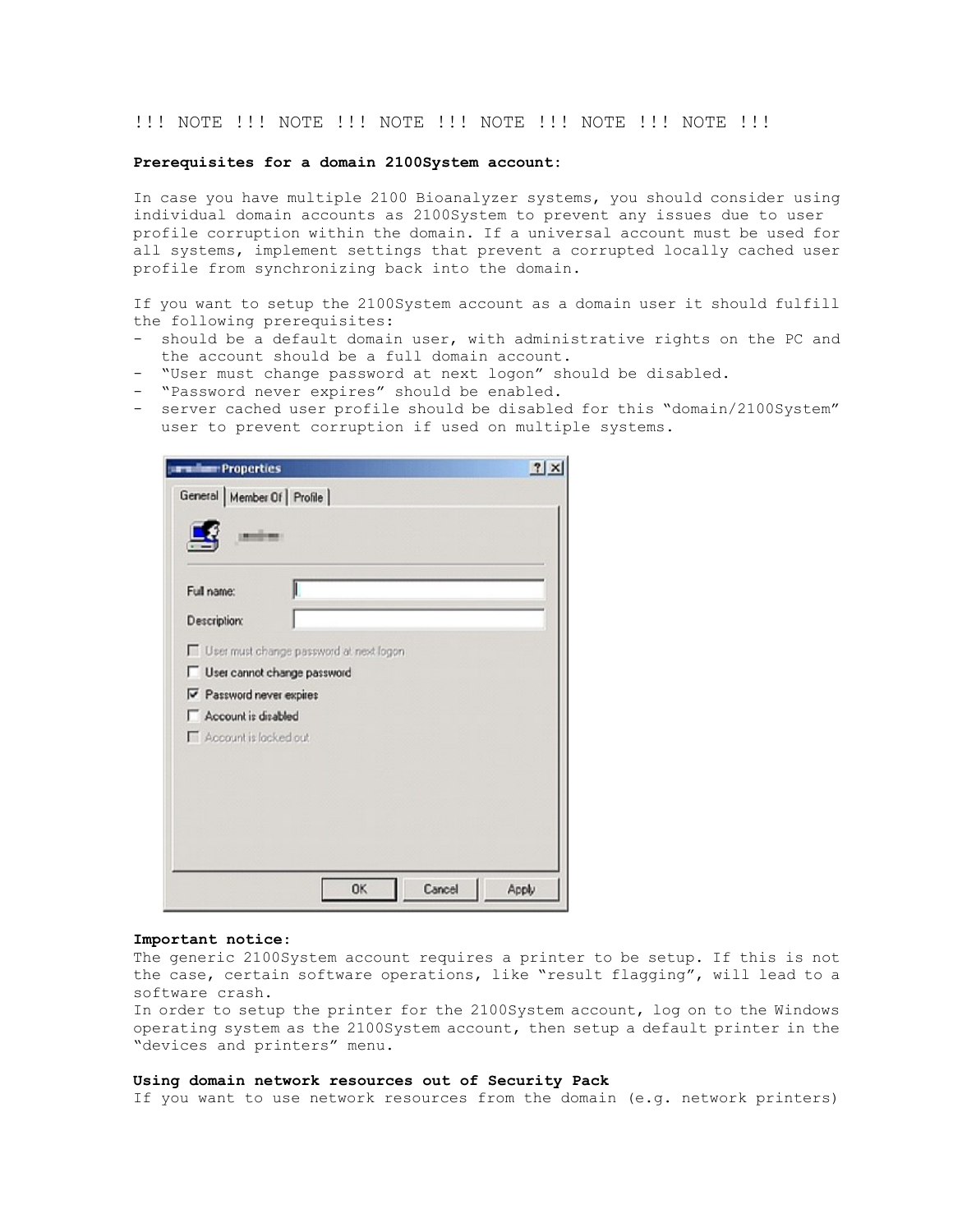!!! NOTE !!! NOTE !!! NOTE !!! NOTE !!! NOTE !!! NOTE !!!

# **Prerequisites for a domain 2100System account:**

In case you have multiple 2100 Bioanalyzer systems, you should consider using individual domain accounts as 2100System to prevent any issues due to user profile corruption within the domain. If a universal account must be used for all systems, implement settings that prevent a corrupted locally cached user profile from synchronizing back into the domain.

If you want to setup the 2100System account as a domain user it should fulfill the following prerequisites:

- should be a default domain user, with administrative rights on the PC and the account should be a full domain account.
- "User must change password at next logon" should be disabled.
- "Password never expires" should be enabled.
- server cached user profile should be disabled for this "domain/2100System" user to prevent corruption if used on multiple systems.

| <b>Electric Properties</b>              | $?$ $\times$    |
|-----------------------------------------|-----------------|
| General   Member Of   Profile           |                 |
| and an                                  |                 |
| Full name:                              |                 |
| Description:                            |                 |
| User must change password at next logon |                 |
| User cannot change password             |                 |
| Password never expires                  |                 |
| Account is disabled                     |                 |
| Account is lacked out                   |                 |
|                                         |                 |
|                                         |                 |
|                                         |                 |
|                                         |                 |
|                                         |                 |
|                                         |                 |
| OK                                      | Cancel<br>Apply |

# **Important notice**:

The generic 2100System account requires a printer to be setup. If this is not the case, certain software operations, like "result flagging", will lead to a software crash.

In order to setup the printer for the 2100System account, log on to the Windows operating system as the 2100System account, then setup a default printer in the "devices and printers" menu.

# **Using domain network resources out of Security Pack**

If you want to use network resources from the domain (e.g. network printers)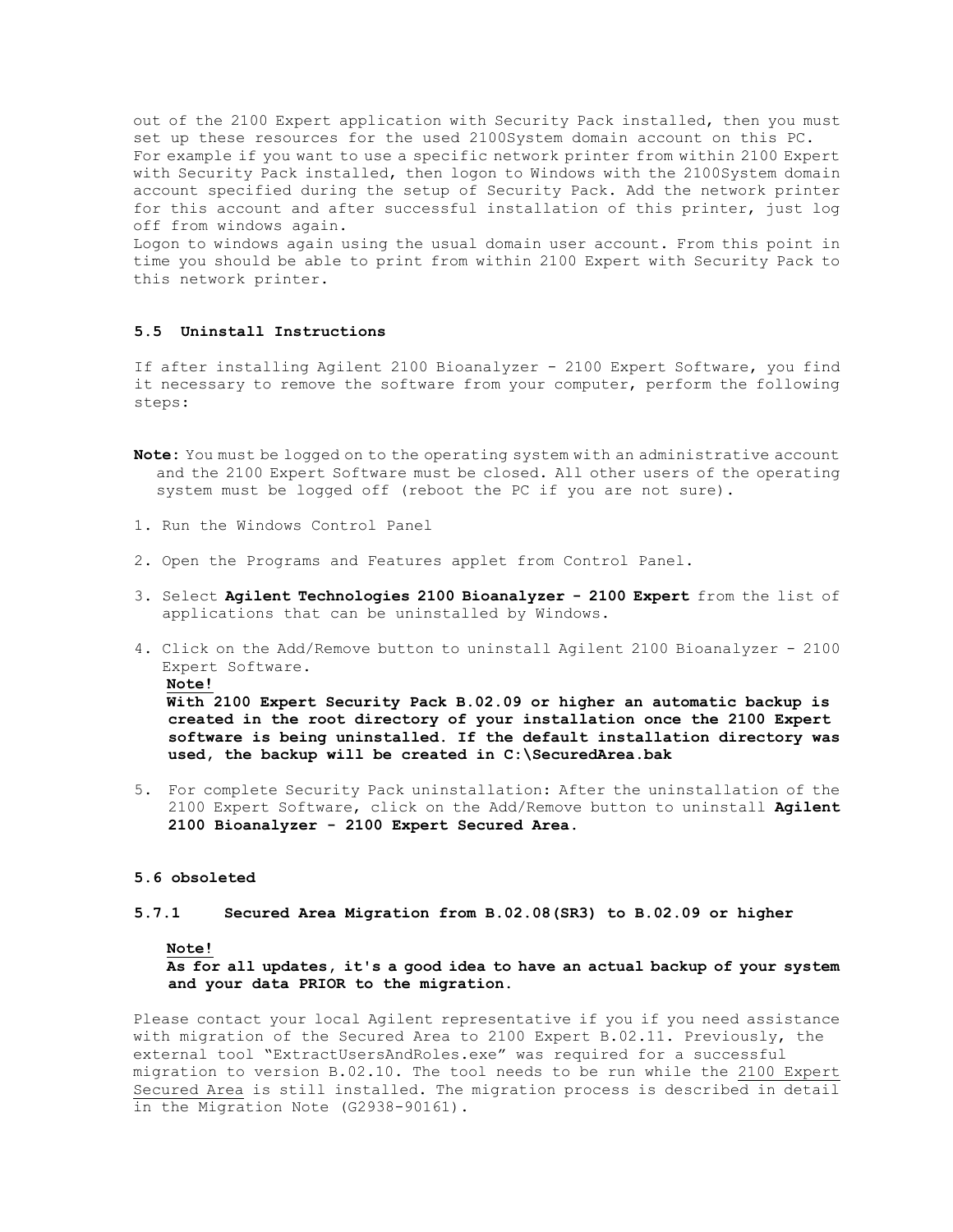out of the 2100 Expert application with Security Pack installed, then you must set up these resources for the used 2100System domain account on this PC. For example if you want to use a specific network printer from within 2100 Expert with Security Pack installed, then logon to Windows with the 2100System domain account specified during the setup of Security Pack. Add the network printer for this account and after successful installation of this printer, just log off from windows again.

Logon to windows again using the usual domain user account. From this point in time you should be able to print from within 2100 Expert with Security Pack to this network printer.

# **5.5 Uninstall Instructions**

If after installing Agilent 2100 Bioanalyzer - 2100 Expert Software, you find it necessary to remove the software from your computer, perform the following steps:

- **Note:** You must be logged on to the operating system with an administrative account and the 2100 Expert Software must be closed. All other users of the operating system must be logged off (reboot the PC if you are not sure).
- 1. Run the Windows Control Panel
- 2. Open the Programs and Features applet from Control Panel.
- 3. Select **Agilent Technologies 2100 Bioanalyzer - 2100 Expert** from the list of applications that can be uninstalled by Windows.
- 4. Click on the Add/Remove button to uninstall Agilent 2100 Bioanalyzer 2100 Expert Software.
	- **Note!**

**With 2100 Expert Security Pack B.02.09 or higher an automatic backup is created in the root directory of your installation once the 2100 Expert software is being uninstalled. If the default installation directory was used, the backup will be created in C:\SecuredArea.bak**

5. For complete Security Pack uninstallation: After the uninstallation of the 2100 Expert Software, click on the Add/Remove button to uninstall **Agilent 2100 Bioanalyzer - 2100 Expert Secured Area**.

#### **5.6 obsoleted**

#### **5.7.1 Secured Area Migration from B.02.08(SR3) to B.02.09 or higher**

#### **Note!**

**As for all updates, it's a good idea to have an actual backup of your system and your data PRIOR to the migration.**

Please contact your local Agilent representative if you if you need assistance with migration of the Secured Area to 2100 Expert B.02.11. Previously, the external tool "ExtractUsersAndRoles.exe" was required for a successful migration to version B.02.10. The tool needs to be run while the 2100 Expert Secured Area is still installed. The migration process is described in detail in the Migration Note (G2938-90161).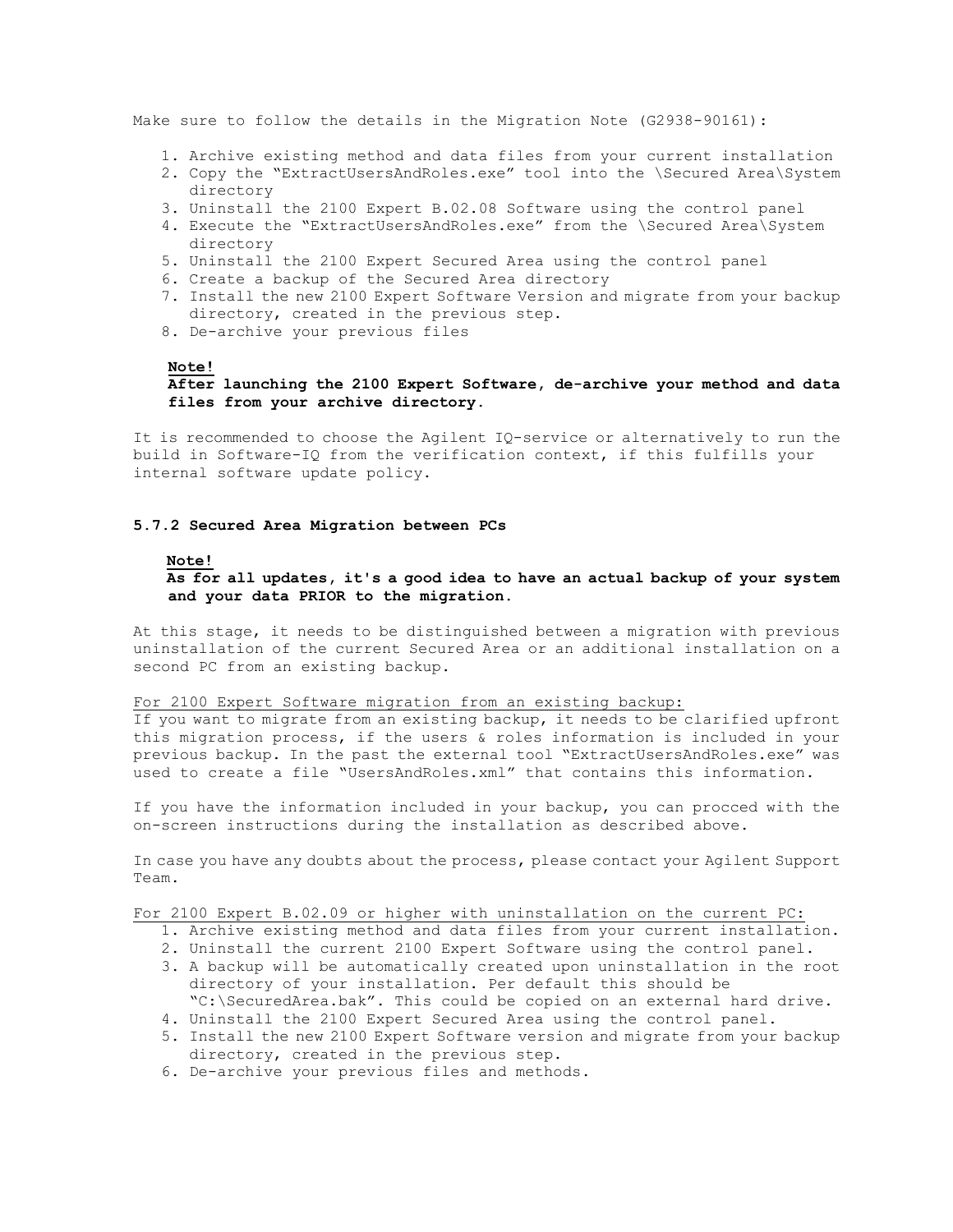Make sure to follow the details in the Migration Note (G2938-90161):

- 1. Archive existing method and data files from your current installation
- 2. Copy the "ExtractUsersAndRoles.exe" tool into the \Secured Area\System directory
- 3. Uninstall the 2100 Expert B.02.08 Software using the control panel
- 4. Execute the "ExtractUsersAndRoles.exe" from the \Secured Area\System directory
- 5. Uninstall the 2100 Expert Secured Area using the control panel
- 6. Create a backup of the Secured Area directory
- 7. Install the new 2100 Expert Software Version and migrate from your backup directory, created in the previous step.
- 8. De-archive your previous files

# **Note!**

# **After launching the 2100 Expert Software, de-archive your method and data files from your archive directory.**

It is recommended to choose the Agilent IQ-service or alternatively to run the build in Software-IQ from the verification context, if this fulfills your internal software update policy.

#### **5.7.2 Secured Area Migration between PCs**

### **Note!**

**As for all updates, it's a good idea to have an actual backup of your system and your data PRIOR to the migration.**

At this stage, it needs to be distinguished between a migration with previous uninstallation of the current Secured Area or an additional installation on a second PC from an existing backup.

#### For 2100 Expert Software migration from an existing backup:

If you want to migrate from an existing backup, it needs to be clarified upfront this migration process, if the users & roles information is included in your previous backup. In the past the external tool "ExtractUsersAndRoles.exe" was used to create a file "UsersAndRoles.xml" that contains this information.

If you have the information included in your backup, you can procced with the on-screen instructions during the installation as described above.

In case you have any doubts about the process, please contact your Agilent Support Team.

# For 2100 Expert B.02.09 or higher with uninstallation on the current PC:

- 1. Archive existing method and data files from your current installation.
- 2. Uninstall the current 2100 Expert Software using the control panel.
- 3. A backup will be automatically created upon uninstallation in the root directory of your installation. Per default this should be "C:\SecuredArea.bak". This could be copied on an external hard drive.
- 4. Uninstall the 2100 Expert Secured Area using the control panel.
- 5. Install the new 2100 Expert Software version and migrate from your backup directory, created in the previous step.
- 6. De-archive your previous files and methods.